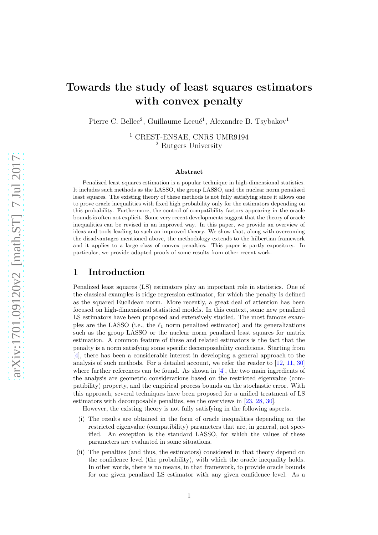# Towards the study of least squares estimators with convex penalty

Pierre C. Bellec<sup>2</sup>, Guillaume Lecué<sup>1</sup>, Alexandre B. Tsybakov<sup>1</sup>

<sup>1</sup> CREST-ENSAE, CNRS UMR9194 <sup>2</sup> Rutgers University

#### Abstract

Penalized least squares estimation is a popular technique in high-dimensional statistics. It includes such methods as the LASSO, the group LASSO, and the nuclear norm penalized least squares. The existing theory of these methods is not fully satisfying since it allows one to prove oracle inequalities with fixed high probability only for the estimators depending on this probability. Furthermore, the control of compatibility factors appearing in the oracle bounds is often not explicit. Some very recent developments suggest that the theory of oracle inequalities can be revised in an improved way. In this paper, we provide an overview of ideas and tools leading to such an improved theory. We show that, along with overcoming the disadvantages mentioned above, the methodology extends to the hilbertian framework and it applies to a large class of convex penalties. This paper is partly expository. In particular, we provide adapted proofs of some results from other recent work.

# 1 Introduction

Penalized least squares (LS) estimators play an important role in statistics. One of the classical examples is ridge regression estimator, for which the penalty is defined as the squared Euclidean norm. More recently, a great deal of attention has been focused on high-dimensional statistical models. In this context, some new penalized LS estimators have been proposed and extensively studied. The most famous examples are the LASSO (i.e., the  $\ell_1$  norm penalized estimator) and its generalizations such as the group LASSO or the nuclear norm penalized least squares for matrix estimation. A common feature of these and related estimators is the fact that the penalty is a norm satisfying some specific decomposability conditions. Starting from [\[4\]](#page-18-0), there has been a considerable interest in developing a general approach to the analysis of such methods. For a detailed account, we refer the reader to [\[12](#page-19-0), [11](#page-19-1), [30](#page-19-2)] where further references can be found. As shown in  $[4]$ , the two main ingredients of the analysis are geometric considerations based on the restricted eigenvalue (compatibility) property, and the empirical process bounds on the stochastic error. With this approach, several techniques have been proposed for a unified treatment of LS estimators with decomposable penalties, see the overviews in [\[23,](#page-19-3) [28,](#page-19-4) [30\]](#page-19-2).

However, the existing theory is not fully satisfying in the following aspects.

- (i) The results are obtained in the form of oracle inequalities depending on the restricted eigenvalue (compatibility) parameters that are, in general, not specified. An exception is the standard LASSO, for which the values of these parameters are evaluated in some situations.
- (ii) The penalties (and thus, the estimators) considered in that theory depend on the confidence level (the probability), with which the oracle inequality holds. In other words, there is no means, in that framework, to provide oracle bounds for one given penalized LS estimator with any given confidence level. As a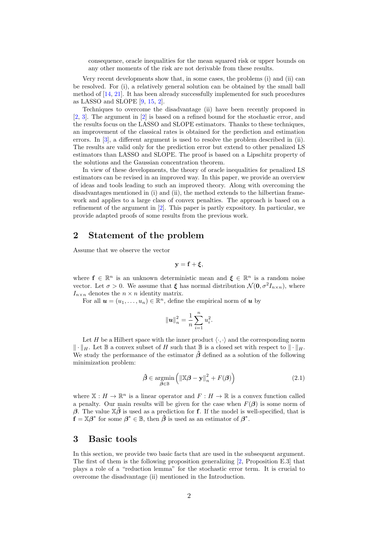consequence, oracle inequalities for the mean squared risk or upper bounds on any other moments of the risk are not derivable from these results.

Very recent developments show that, in some cases, the problems (i) and (ii) can be resolved. For (i), a relatively general solution can be obtained by the small ball method of [\[14,](#page-19-5) [21](#page-19-6)]. It has been already successfully implemented for such procedures as LASSO and SLOPE [\[9,](#page-19-7) [15,](#page-19-8) [2\]](#page-18-1).

Techniques to overcome the disadvantage (ii) have been recently proposed in [\[2,](#page-18-1) [3](#page-18-2)]. The argument in [\[2\]](#page-18-1) is based on a refined bound for the stochastic error, and the results focus on the LASSO and SLOPE estimators. Thanks to these techniques, an improvement of the classical rates is obtained for the prediction and estimation errors. In [\[3](#page-18-2)], a different argument is used to resolve the problem described in (ii). The results are valid only for the prediction error but extend to other penalized LS estimators than LASSO and SLOPE. The proof is based on a Lipschitz property of the solutions and the Gaussian concentration theorem.

In view of these developments, the theory of oracle inequalities for penalized LS estimators can be revised in an improved way. In this paper, we provide an overview of ideas and tools leading to such an improved theory. Along with overcoming the disadvantages mentioned in (i) and (ii), the method extends to the hilbertian framework and applies to a large class of convex penalties. The approach is based on a refinement of the argument in [\[2](#page-18-1)]. This paper is partly expository. In particular, we provide adapted proofs of some results from the previous work.

# 2 Statement of the problem

Assume that we observe the vector

$$
\mathbf{y} = \mathbf{f} + \boldsymbol{\xi},
$$

where  $f \in \mathbb{R}^n$  is an unknown deterministic mean and  $\xi \in \mathbb{R}^n$  is a random noise vector. Let  $\sigma > 0$ . We assume that  $\xi$  has normal distribution  $\mathcal{N}(\mathbf{0}, \sigma^2 I_{n \times n})$ , where  $I_{n\times n}$  denotes the  $n \times n$  identity matrix.

For all  $\mathbf{u} = (u_1, \dots, u_n) \in \mathbb{R}^n$ , define the empirical norm of  $\mathbf{u}$  by

$$
\|\mathbf{u}\|_n^2 = \frac{1}{n} \sum_{i=1}^n u_i^2.
$$

Let H be a Hilbert space with the inner product  $\langle \cdot, \cdot \rangle$  and the corresponding norm  $\Vert \cdot \Vert_H$ . Let B a convex subset of H such that B is a closed set with respect to  $\Vert \cdot \Vert_H$ . We study the performance of the estimator  $\hat{\beta}$  defined as a solution of the following minimization problem:

<span id="page-1-0"></span>
$$
\hat{\boldsymbol{\beta}} \in \underset{\boldsymbol{\beta} \in \mathbb{B}}{\operatorname{argmin}} \left( \left\| \mathbb{X}\boldsymbol{\beta} - \mathbf{y} \right\|_{n}^{2} + F(\boldsymbol{\beta}) \right) \tag{2.1}
$$

where  $X : H \to \mathbb{R}^n$  is a linear operator and  $F : H \to \mathbb{R}$  is a convex function called a penalty. Our main results will be given for the case when  $F(\beta)$  is some norm of β. The value  $\mathbb{X}\hat{\beta}$  is used as a prediction for f. If the model is well-specified, that is  $\mathbf{f} = \mathbb{X}\boldsymbol{\beta}^*$  for some  $\boldsymbol{\beta}^* \in \mathbb{B}$ , then  $\hat{\boldsymbol{\beta}}$  is used as an estimator of  $\boldsymbol{\beta}^*$ .

## 3 Basic tools

In this section, we provide two basic facts that are used in the subsequent argument. The first of them is the following proposition generalizing [\[2](#page-18-1), Proposition E.3] that plays a role of a "reduction lemma" for the stochastic error term. It is crucial to overcome the disadvantage (ii) mentioned in the Introduction.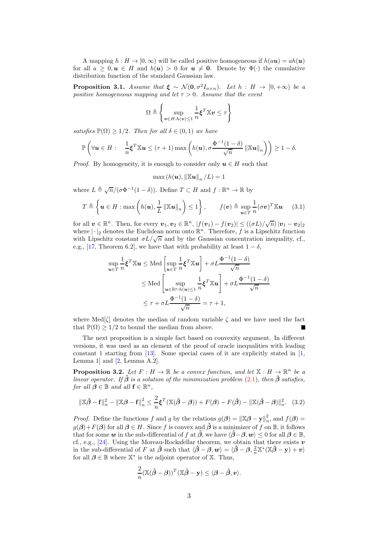A mapping  $h : H \to [0, \infty)$  will be called positive homogeneous if  $h(au) = ah(u)$ for all  $a \geq 0, u \in H$  and  $h(u) > 0$  for  $u \neq 0$ . Denote by  $\Phi(\cdot)$  the cumulative distribution function of the standard Gaussian law.

<span id="page-2-0"></span>**Proposition 3.1.** *Assume that*  $\xi \sim \mathcal{N}(0, \sigma^2 I_{n \times n})$ *. Let*  $h : H \to [0, +\infty)$  *be a positive homogeneous mapping and let*  $\tau > 0$ *. Assume that the event* 

$$
\Omega \triangleq \left\{ \sup_{\boldsymbol{v} \in H:h(\boldsymbol{v}) \leq 1} \frac{1}{n} \boldsymbol{\xi}^T \mathbb{X} \boldsymbol{v} \leq \tau \right\}
$$

*satisfies*  $\mathbb{P}(\Omega) > 1/2$ *. Then for all*  $\delta \in (0,1)$  *we have* 

$$
\mathbb{P}\left(\forall \boldsymbol{u}\in H: \quad \frac{1}{n}\boldsymbol{\xi}^T\mathbb{X}\boldsymbol{u}\leq (\tau+1)\max\left(h(\boldsymbol{u}),\sigma\frac{\Phi^{-1}(1-\delta)}{\sqrt{n}}\left\|\mathbb{X}\boldsymbol{u}\right\|_n\right)\right)\geq 1-\delta.
$$

*Proof.* By homogeneity, it is enough to consider only  $u \in H$  such that

$$
\max(h(\boldsymbol{u}),\left\|\mathbb{X}\boldsymbol{u}\right\|_n/L)=1
$$

where  $L \triangleq \sqrt{n}/(\sigma \Phi^{-1}(1-\delta))$ . Define  $T \subset H$  and  $f : \mathbb{R}^n \to \mathbb{R}$  by

$$
T \triangleq \left\{ \boldsymbol{u} \in H : \max\left( h(\boldsymbol{u}), \frac{1}{L} \left\| \mathbb{X} \boldsymbol{u} \right\|_{n} \right) \leq 1 \right\}, \qquad f(\boldsymbol{v}) \triangleq \sup_{\boldsymbol{u} \in T} \frac{1}{n} (\sigma \boldsymbol{v})^{T} \mathbb{X} \boldsymbol{u} \qquad (3.1)
$$

for all  $v \in \mathbb{R}^n$ . Then, for every  $v_1, v_2 \in \mathbb{R}^n$ ,  $|f(v_1) - f(v_2)| \leq ((\sigma L)/\sqrt{n}) |v_1 - v_2|_2$ where  $|\cdot|_2$  denotes the Euclidean norm onto  $\mathbb{R}^n$ . Therefore, f is a Lipschitz function with Lipschitz constant  $\sigma L/\sqrt{n}$  and by the Gaussian concentration inequality, cf., e.g., [\[17,](#page-19-9) Theorem 6.2], we have that with probability at least  $1 - \delta$ ,

$$
\sup_{\mathbf{u}\in T} \frac{1}{n} \boldsymbol{\xi}^T \mathbb{X} \mathbf{u} \le \text{Med} \left[ \sup_{\mathbf{u}\in T} \frac{1}{n} \boldsymbol{\xi}^T \mathbb{X} \mathbf{u} \right] + \sigma L \frac{\Phi^{-1}(1-\delta)}{\sqrt{n}} \n\le \text{Med} \left[ \sup_{\mathbf{u}\in\mathbb{R}^p : h(\mathbf{u}) \le 1} \frac{1}{n} \boldsymbol{\xi}^T \mathbb{X} \mathbf{u} \right] + \sigma L \frac{\Phi^{-1}(1-\delta)}{\sqrt{n}} \n\le \tau + \sigma L \frac{\Phi^{-1}(1-\delta)}{\sqrt{n}} = \tau + 1,
$$

where Med $[\zeta]$  denotes the median of random variable  $\zeta$  and we have used the fact that  $\mathbb{P}(\Omega) \geq 1/2$  to bound the median from above. Г

The next proposition is a simple fact based on convexity argument. In different versions, it was used as an element of the proof of oracle inequalities with leading constant 1 starting from [\[13](#page-19-10)]. Some special cases of it are explicitly stated in [\[1](#page-18-3), Lemma 1] and  $[2, \text{Lemma A.2}].$ 

<span id="page-2-1"></span>**Proposition 3.2.** Let  $F: H \to \mathbb{R}$  be a convex function, and let  $\mathbb{X}: H \to \mathbb{R}^n$  be a *linear operator.* If  $\hat{\beta}$  *is a solution of the minimization problem* [\(2.1\)](#page-1-0), then  $\hat{\beta}$  *satisfies, for all*  $\beta \in \mathbb{B}$  *and all*  $f \in \mathbb{R}^n$ *,* 

$$
\|\mathbb{X}\hat{\beta} - \mathbf{f}\|_{n}^{2} - \|\mathbb{X}\beta - \mathbf{f}\|_{n}^{2} \leq \frac{2}{n} \xi^{T} (\mathbb{X}(\hat{\beta} - \beta)) + F(\beta) - F(\hat{\beta}) - \|\mathbb{X}(\hat{\beta} - \beta)\|_{n}^{2}.
$$
 (3.2)

*Proof.* Define the functions f and g by the relations  $g(\boldsymbol{\beta}) = ||\mathbb{X}\boldsymbol{\beta} - \mathbf{y}||_n^2$  $_n^2$ , and  $f(\boldsymbol{\beta}) =$  $g(\beta)+F(\beta)$  for all  $\beta \in H$ . Since f is convex and  $\hat{\beta}$  is a minimizer of f on B, it follows that for some w in the sub-differential of f at  $\hat{\beta}$ , we have  $\langle \hat{\beta} - \beta, w \rangle \leq 0$  for all  $\beta \in \mathbb{B}$ , cf., e.g., [\[24\]](#page-19-11). Using the Moreau-Rockafellar theorem, we obtain that there exists  $v$ in the sub-differential of F at  $\hat{\beta}$  such that  $\langle \hat{\beta} - \beta, w \rangle = \langle \hat{\beta} - \beta, \frac{2}{n} \mathbb{X}^*(\mathbb{X} \hat{\beta} - \mathbf{y}) + v \rangle$ for all  $\beta \in \mathbb{B}$  where  $\mathbb{X}^*$  is the adjoint operator of  $\mathbb{X}$ . Thus,

$$
\frac{2}{n}(\mathbb{X}(\hat{\boldsymbol{\beta}} - \boldsymbol{\beta}))^T(\mathbb{X}\hat{\boldsymbol{\beta}} - \mathbf{y}) \leq \langle \boldsymbol{\beta} - \hat{\boldsymbol{\beta}}, \boldsymbol{v} \rangle.
$$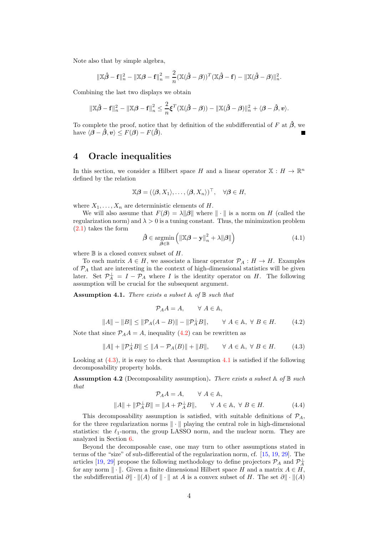Note also that by simple algebra,

$$
\|\mathbb{X}\hat{\boldsymbol{\beta}} - \mathbf{f}\|_{n}^{2} - \|\mathbb{X}\boldsymbol{\beta} - \mathbf{f}\|_{n}^{2} = \frac{2}{n}(\mathbb{X}(\hat{\boldsymbol{\beta}} - \boldsymbol{\beta}))^{T}(\mathbb{X}\hat{\boldsymbol{\beta}} - \mathbf{f}) - \|\mathbb{X}(\hat{\boldsymbol{\beta}} - \boldsymbol{\beta})\|_{n}^{2}.
$$

Combining the last two displays we obtain

$$
\|\mathbb{X}\hat{\boldsymbol{\beta}} - \mathbf{f}\|_{n}^{2} - \|\mathbb{X}\boldsymbol{\beta} - \mathbf{f}\|_{n}^{2} \leq \frac{2}{n}\boldsymbol{\xi}^{T}(\mathbb{X}(\hat{\boldsymbol{\beta}} - \boldsymbol{\beta})) - \|\mathbb{X}(\hat{\boldsymbol{\beta}} - \boldsymbol{\beta})\|_{n}^{2} + \langle \boldsymbol{\beta} - \hat{\boldsymbol{\beta}}, \boldsymbol{v} \rangle.
$$

To complete the proof, notice that by definition of the subdifferential of F at  $\hat{\beta}$ , we have  $\langle \boldsymbol{\beta} - \hat{\boldsymbol{\beta}}, v \rangle \leq F(\boldsymbol{\beta}) - F(\hat{\boldsymbol{\beta}}).$ 

# 4 Oracle inequalities

In this section, we consider a Hilbert space H and a linear operator  $\mathbb{X}: H \to \mathbb{R}^n$ defined by the relation

$$
\mathbb{X}\boldsymbol{\beta}=(\langle \boldsymbol{\beta},X_1\rangle,\ldots,\langle \boldsymbol{\beta},X_n\rangle)^{\top},\quad \forall \boldsymbol{\beta}\in H,
$$

where  $X_1, \ldots, X_n$  are deterministic elements of H.

We will also assume that  $F(\beta) = \lambda ||\beta||$  where  $|| \cdot ||$  is a norm on H (called the regularization norm) and  $\lambda > 0$  is a tuning constant. Thus, the minimization problem [\(2.1\)](#page-1-0) takes the form

<span id="page-3-3"></span>
$$
\hat{\boldsymbol{\beta}} \in \underset{\boldsymbol{\beta} \in \mathbb{B}}{\operatorname{argmin}} \left( \left\| \mathbb{X} \boldsymbol{\beta} - \mathbf{y} \right\|_{n}^{2} + \lambda \|\boldsymbol{\beta}\| \right) \tag{4.1}
$$

where  $\mathbb B$  is a closed convex subset of  $H$ .

To each matrix  $A \in H$ , we associate a linear operator  $\mathcal{P}_A : H \to H$ . Examples of  $P_A$  that are interesting in the context of high-dimensional statistics will be given later. Set  $\mathcal{P}_A^{\perp} = I - \mathcal{P}_A$  where I is the identity operator on H. The following assumption will be crucial for the subsequent argument.

<span id="page-3-2"></span>Assumption 4.1. *There exists a subset* A *of* B *such that*

$$
\mathcal{P}_A A = A, \qquad \forall A \in \mathbb{A},
$$

<span id="page-3-0"></span>
$$
||A|| - ||B|| \le ||\mathcal{P}_A(A - B)|| - ||\mathcal{P}_A^{\perp}B||, \qquad \forall A \in \mathbb{A}, \ \forall B \in H. \tag{4.2}
$$

Note that since  $\mathcal{P}_A A = A$ , inequality [\(4.2\)](#page-3-0) can be rewritten as

<span id="page-3-1"></span>
$$
||A|| + ||\mathcal{P}_A^{\perp}B|| \le ||A - \mathcal{P}_A(B)|| + ||B||, \qquad \forall A \in \mathbb{A}, \ \forall B \in H. \tag{4.3}
$$

Looking at  $(4.3)$ , it is easy to check that Assumption [4.1](#page-3-2) is satisfied if the following decomposability property holds.

<span id="page-3-4"></span>Assumption 4.2 (Decomposability assumption). *There exists a subset* A *of* B *such that*

$$
\mathcal{P}_A A = A, \qquad \forall A \in \mathbb{A},
$$
  

$$
||A|| + ||\mathcal{P}_A^{\perp} B|| = ||A + \mathcal{P}_A^{\perp} B||, \qquad \forall A \in \mathbb{A}, \forall B \in H.
$$
 (4.4)

This decomposability assumption is satisfied, with suitable definitions of  $P_A$ , for the three regularization norms  $\|\cdot\|$  playing the central role in high-dimensional statistics: the  $\ell_1$ -norm, the group LASSO norm, and the nuclear norm. They are analyzed in Section [6.](#page-9-0)

Beyond the decomposable case, one may turn to other assumptions stated in terms of the "size" of sub-differential of the regularization norm, cf. [\[15](#page-19-8), [19,](#page-19-12) [29](#page-19-13)]. The articles [\[19,](#page-19-12) [29\]](#page-19-13) propose the following methodology to define projectors  $\mathcal{P}_A$  and  $\mathcal{P}_A^{\perp}$ for any norm  $\|\cdot\|$ . Given a finite dimensional Hilbert space H and a matrix  $A \in H$ , the subdifferential  $\partial$  | · ||(A) of || · || at A is a convex subset of H. The set  $\partial$ || · ||(A)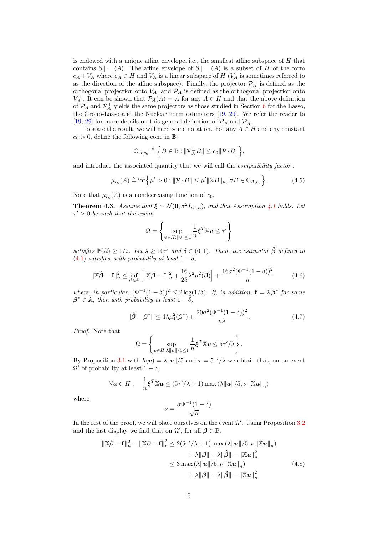is endowed with a unique affine envelope, i.e., the smallest affine subspace of  $H$  that contains  $\partial \|\cdot\|(A)$ . The affine envelope of  $\partial \|\cdot\|(A)$  is a subset of H of the form  $e_A + V_A$  where  $e_A \in H$  and  $V_A$  is a linear subspace of H ( $V_A$  is sometimes referred to as the direction of the affine subspace). Finally, the projector  $\mathcal{P}_{A}^{\perp}$  is defined as the orthogonal projection onto  $V_A$ , and  $\mathcal{P}_A$  is defined as the orthogonal projection onto  $V_A^{\perp}$ . It can be shown that  $\mathcal{P}_A(A) = A$  for any  $A \in H$  and that the above definition of  $\mathcal{P}_A$  and  $\mathcal{P}_A^{\perp}$  yields the same projectors as those studied in Section [6](#page-9-0) for the Lasso, the Group-Lasso and the Nuclear norm estimators [\[19](#page-19-12), [29\]](#page-19-13). We refer the reader to [\[19,](#page-19-12) [29\]](#page-19-13) for more details on this general definition of  $\mathcal{P}_A$  and  $\mathcal{P}_A^{\perp}$ .

To state the result, we will need some notation. For any  $A \in H$  and any constant  $c_0 > 0$ , define the following cone in B:

$$
\mathbb{C}_{A,c_0} \triangleq \Big\{ B \in \mathbb{B} : \|\mathcal{P}_A^{\perp} B\| \leq c_0 \|\mathcal{P}_A B\| \Big\},\
$$

and introduce the associated quantity that we will call the *compatibility factor* :

<span id="page-4-4"></span>
$$
\mu_{c_0}(A) \triangleq \inf \Big\{ \mu' > 0 : \|\mathcal{P}_A B\| \le \mu' \|\mathbb{X} B\|_n, \,\forall B \in \mathbb{C}_{A,c_0} \Big\}.\tag{4.5}
$$

Note that  $\mu_{c_0}(A)$  is a nondecreasing function of  $c_0$ .

<span id="page-4-3"></span>**Theorem 4.3.** *Assume that*  $\xi \sim \mathcal{N}(0, \sigma^2 I_{n \times n})$ *, and that Assumption [4.1](#page-3-2) holds. Let* τ ′ > 0 *be such that the event*

$$
\Omega = \left\{ \sup_{\boldsymbol{v} \in H: \|\boldsymbol{v}\| \le 1} \frac{1}{n} \boldsymbol{\xi}^T \mathbb{X} \boldsymbol{v} \le \tau' \right\}
$$

*satisfies*  $\mathbb{P}(\Omega) \geq 1/2$ *. Let*  $\lambda \geq 10\tau'$  *and*  $\delta \in (0,1)$ *. Then, the estimator*  $\hat{\beta}$  *defined in* [\(4.1\)](#page-3-3) *satisfies, with probability at least*  $1 - \delta$ *,* 

<span id="page-4-0"></span>
$$
\|\mathbb{X}\hat{\boldsymbol{\beta}} - \mathbf{f}\|_{n}^{2} \le \inf_{\boldsymbol{\beta} \in \mathbb{A}} \left[ \|\mathbb{X}\boldsymbol{\beta} - \mathbf{f}\|_{n}^{2} + \frac{16}{25}\lambda^{2}\mu_{4}^{2}(\boldsymbol{\beta}) \right] + \frac{16\sigma^{2}(\Phi^{-1}(1-\delta))^{2}}{n} \tag{4.6}
$$

*where, in particular,*  $(\Phi^{-1}(1-\delta))^2 \leq 2 \log(1/\delta)$ *. If, in addition,*  $\mathbf{f} = \mathbb{X}\beta^*$  for some  $\beta^* \in \mathbb{A}$ *, then with probability at least*  $1 - \delta$ *,* 

<span id="page-4-2"></span>
$$
\|\hat{\beta} - \beta^*\| \le 4\lambda \mu_4^2(\beta^*) + \frac{20\sigma^2(\Phi^{-1}(1-\delta))^2}{n\lambda}.
$$
 (4.7)

*Proof.* Note that

$$
\Omega = \left\{ \sup_{\boldsymbol{v} \in H: \lambda \|\boldsymbol{v}\|/5 \leq 1} \frac{1}{n} \boldsymbol{\xi}^T \mathbb{X} \boldsymbol{v} \leq 5\tau'/\lambda \right\}.
$$

By Proposition [3.1](#page-2-0) with  $h(v) = \lambda ||v||/5$  and  $\tau = 5\tau'/\lambda$  we obtain that, on an event  $\Omega'$  of probability at least  $1 - \delta$ ,

$$
\forall \mathbf{u} \in H: \quad \frac{1}{n} \boldsymbol{\xi}^T \mathbb{X} \mathbf{u} \leq (5\tau'/\lambda + 1) \max (\lambda {\|\mathbf{u}\|}/{5}, \nu {\|\mathbb{X} \mathbf{u}\|}_n)
$$

where

<span id="page-4-1"></span>
$$
\nu = \frac{\sigma \Phi^{-1}(1-\delta)}{\sqrt{n}}.
$$

In the rest of the proof, we will place ourselves on the event  $\Omega'$ . Using Proposition [3.2](#page-2-1) and the last display we find that on  $\Omega'$ , for all  $\beta \in \mathbb{B}$ ,

$$
\|\mathbb{X}\hat{\beta} - \mathbf{f}\|_{n}^{2} - \|\mathbb{X}\beta - \mathbf{f}\|_{n}^{2} \le 2(5\tau'/\lambda + 1) \max(\lambda \|\mathbf{u}\|/5, \nu \|\mathbb{X}\mathbf{u}\|_{n})
$$
  
+  $\lambda \|\beta\| - \lambda \|\hat{\beta}\| - \|\mathbb{X}\mathbf{u}\|_{n}^{2}$   
 $\le 3 \max(\lambda \|\mathbf{u}\|/5, \nu \|\mathbb{X}\mathbf{u}\|_{n})$   
+  $\lambda \|\beta\| - \lambda \|\hat{\beta}\| - \|\mathbb{X}\mathbf{u}\|_{n}^{2}$  (4.8)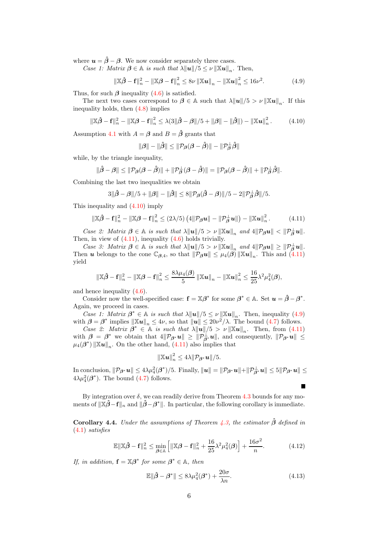where  $u = \hat{\beta} - \beta$ . We now consider separately three cases.

*Case 1: Matrix*  $\boldsymbol{\beta} \in \mathbb{A}$  *is such that*  $\lambda ||\boldsymbol{u}|| / 5 \le \nu ||\mathbb{X} \boldsymbol{u}||_n$ . Then,

<span id="page-5-2"></span>
$$
\|\mathbb{X}\hat{\beta} - \mathbf{f}\|_{n}^{2} - \|\mathbb{X}\beta - \mathbf{f}\|_{n}^{2} \leq 8\nu \|\mathbb{X}u\|_{n} - \|\mathbb{X}u\|_{n}^{2} \leq 16\nu^{2}.
$$
 (4.9)

Thus, for such  $\beta$  inequality [\(4.6\)](#page-4-0) is satisfied.

The next two cases correspond to  $\beta \in \mathbb{A}$  such that  $\lambda ||u||/5 > \nu ||\mathbb{X}u||_n$ . If this inequality holds, then [\(4.8\)](#page-4-1) implies

<span id="page-5-0"></span>
$$
\|\mathbb{X}\hat{\boldsymbol{\beta}} - \mathbf{f}\|_{n}^{2} - \|\mathbb{X}\boldsymbol{\beta} - \mathbf{f}\|_{n}^{2} \leq \lambda(3\|\hat{\boldsymbol{\beta}} - \boldsymbol{\beta}\|/5 + \|\boldsymbol{\beta}\| - \|\hat{\boldsymbol{\beta}}\|) - \|\mathbb{X}\boldsymbol{u}\|_{n}^{2}.
$$
 (4.10)

Assumption [4.1](#page-3-2) with  $A = \beta$  and  $B = \hat{\beta}$  grants that

$$
\|\boldsymbol{\beta}\|-\|\hat{\boldsymbol{\beta}}\| \leq \|\mathcal{P}_{\boldsymbol{\beta}}(\boldsymbol{\beta}-\hat{\boldsymbol{\beta}})\|-\|\mathcal{P}_{\boldsymbol{\beta}}^{\perp}\hat{\boldsymbol{\beta}}\|
$$

while, by the triangle inequality,

$$
\|\hat{\beta}-\beta\| \leq \|\mathcal{P}_{\beta}(\beta-\hat{\beta})\| + \|\mathcal{P}_{\beta}^{\perp}(\beta-\hat{\beta})\| = \|\mathcal{P}_{\beta}(\beta-\hat{\beta})\| + \|\mathcal{P}_{\beta}^{\perp}\hat{\beta}\|.
$$

Combining the last two inequalities we obtain

$$
3\|\hat{\beta}-\beta\|/5+\|\beta\|-\|\hat{\beta}\|\leq 8\|\mathcal{P}_{\beta}(\hat{\beta}-\beta)\|/5-2\|\mathcal{P}_{\beta}^{\perp}\hat{\beta}\|/5.
$$

This inequality and [\(4.10\)](#page-5-0) imply

<span id="page-5-1"></span>
$$
\|\mathbb{X}\hat{\boldsymbol{\beta}} - \mathbf{f}\|_{n}^{2} - \|\mathbb{X}\boldsymbol{\beta} - \mathbf{f}\|_{n}^{2} \leq (2\lambda/5) \left( 4\|\mathcal{P}_{\boldsymbol{\beta}}\boldsymbol{u}\| - \|\mathcal{P}_{\boldsymbol{\beta}}^{\perp}\boldsymbol{u}\|\right) - \|\mathbb{X}\boldsymbol{u}\|_{n}^{2}. \tag{4.11}
$$

*Case 2: Matrix*  $\boldsymbol{\beta} \in \mathbb{A}$  *is such that*  $\lambda ||\boldsymbol{u}||/5 > \nu ||\mathbb{X}\boldsymbol{u}||_n$  and  $4||\mathcal{P}_{\boldsymbol{\beta}}\boldsymbol{u}|| < ||\mathcal{P}_{\boldsymbol{\beta}}^{\perp}\boldsymbol{u}||$ . Then, in view of [\(4.11\)](#page-5-1), inequality [\(4.6\)](#page-4-0) holds trivially.

*Case 3: Matrix*  $\boldsymbol{\beta} \in \mathbb{A}$  *is such that*  $\lambda \|\boldsymbol{u}\|/5 > \nu \|\mathbb{X}\boldsymbol{u}\|_n$  and  $4\|\mathcal{P}_{\boldsymbol{\beta}}\boldsymbol{u}\| \geq \|\mathcal{P}_{\boldsymbol{\beta}}^{\perp}\boldsymbol{u}\|$ . Then **u** belongs to the cone  $\mathbb{C}_{\beta,4}$ , so that  $\|\mathcal{P}_{\beta}\mathbf{u}\| \leq \mu_4(\beta) \|\mathbb{X}\mathbf{u}\|_n$ . This and [\(4.11\)](#page-5-1) yield

$$
\|\mathbb{X}\hat{\boldsymbol{\beta}}-\mathbf{f}\|_n^2 - \|\mathbb{X}\boldsymbol{\beta}-\mathbf{f}\|_n^2 \leq \frac{8\lambda\mu_4(\boldsymbol{\beta})}{5} \|\mathbb{X}\boldsymbol{u}\|_n - \|\mathbb{X}\boldsymbol{u}\|_n^2 \leq \frac{16}{25}\lambda^2\mu_4^2(\boldsymbol{\beta}),
$$

and hence inequality [\(4.6\)](#page-4-0).

Consider now the well-specified case:  $\mathbf{f} = \mathbb{X}\boldsymbol{\beta}^*$  for some  $\boldsymbol{\beta}^* \in \mathbb{A}$ . Set  $\mathbf{u} = \hat{\boldsymbol{\beta}} - \boldsymbol{\beta}^*$ . Again, we proceed in cases.

*Case 1: Matrix*  $\boldsymbol{\beta}^* \in \mathbb{A}$  *is such that*  $\lambda ||\boldsymbol{u}||/5 \leq \nu ||\mathbb{X}\boldsymbol{u}||_n$ . Then, inequality [\(4.9\)](#page-5-2) with  $\boldsymbol{\beta} = \boldsymbol{\beta}^*$  implies  $\|\mathbb{X}\boldsymbol{u}\|_n \leq 4\nu$ , so that  $\|\boldsymbol{u}\| \leq 20\nu^2/\lambda$ . The bound [\(4.7\)](#page-4-2) follows.

*Case 2: Matrix*  $\beta^* \in \mathbb{A}$  *is such that*  $\lambda ||\boldsymbol{u}||/5 > \nu ||\mathbb{X}\boldsymbol{u}||_n$ . Then, from [\(4.11\)](#page-5-1) with  $\beta = \beta^*$  we obtain that  $4\|\mathcal{P}_{\beta^*}u\| \ge \|\mathcal{P}_{\beta^*}^{\perp}u\|$ , and consequently,  $\|\mathcal{P}_{\beta^*}u\| \le$  $\mu_4(\boldsymbol{\beta}^*) \|\mathbb{X} \boldsymbol{u}\|_n$ . On the other hand, [\(4.11\)](#page-5-1) also implies that

$$
\left\|\mathbb{X}u\right\|_{n}^{2} \leq 4\lambda \|\mathcal{P}_{\boldsymbol{\beta}^*}u\|/5.
$$

 $\text{In conclusion, } \|\mathcal{P}_{\beta^*}\bm{u}\| \leq 4\lambda\mu_4^2(\beta^*)/5. \text{ Finally, } \|\bm{u}\| = \|\mathcal{P}_{\beta^*}\bm{u}\| + \|\mathcal{P}_{\beta^*}^{\perp}\bm{u}\| \leq 5\|\mathcal{P}_{\beta^*}\bm{u}\| \leq$  $4\lambda\mu_4^2(\beta^*)$ . The bound [\(4.7\)](#page-4-2) follows.

By integration over  $\delta$ , we can readily derive from Theorem [4.3](#page-4-3) bounds for any moments of  $\|\tilde{\mathbf{X}}\hat{\boldsymbol{\beta}}-\mathbf{f}\|_n$  and  $\|\hat{\boldsymbol{\beta}}-\boldsymbol{\beta}^*\|$ . In particular, the following corollary is immediate.

<span id="page-5-3"></span>**Corollary 4.4.** *Under the assumptions of Theorem [4.3,](#page-4-3) the estimator*  $\hat{\beta}$  *defined in* [\(4.1\)](#page-3-3) *satisfies*

$$
\mathbb{E}\|\mathbb{X}\hat{\boldsymbol{\beta}} - \mathbf{f}\|_{n}^{2} \le \min_{\boldsymbol{\beta} \in \mathbb{A}} \left[ \|\mathbb{X}\boldsymbol{\beta} - \mathbf{f}\|_{n}^{2} + \frac{16}{25}\lambda^{2}\mu_{4}^{2}(\boldsymbol{\beta}) \right] + \frac{16\sigma^{2}}{n}.
$$
 (4.12)

*If, in addition,*  $\mathbf{f} = \mathbb{X}\boldsymbol{\beta}^*$  *for some*  $\boldsymbol{\beta}^* \in \mathbb{A}$ *, then* 

$$
\mathbb{E}\|\hat{\beta} - \beta^*\| \le 8\lambda\mu_4^2(\beta^*) + \frac{20\sigma}{\lambda n}.\tag{4.13}
$$

Ē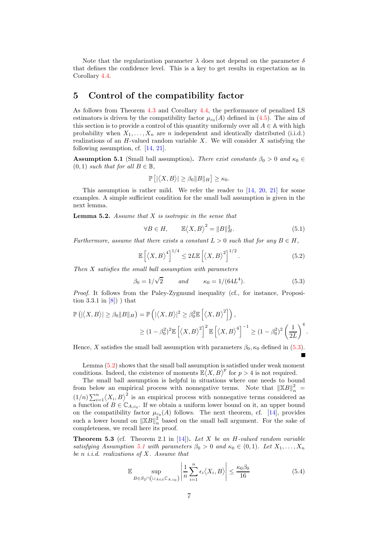Note that the regularization parameter  $\lambda$  does not depend on the parameter  $\delta$ that defines the confidence level. This is a key to get results in expectation as in Corollary [4.4.](#page-5-3)

# 5 Control of the compatibility factor

As follows from Theorem [4.3](#page-4-3) and Corollary [4.4,](#page-5-3) the performance of penalized LS estimators is driven by the compatibility factor  $\mu_{c_0}(A)$  defined in [\(4.5\)](#page-4-4). The aim of this section is to provide a control of this quantity uniformly over all  $A \in A$  with high probability when  $X_1, \ldots, X_n$  are n independent and identically distributed (i.i.d.) realizations of an  $H$ -valued random variable  $X$ . We will consider  $X$  satisfying the following assumption, cf. [\[14](#page-19-5), [21](#page-19-6)].

<span id="page-6-2"></span>**Assumption 5.1** (Small ball assumption). *There exist constants*  $\beta_0 > 0$  *and*  $\kappa_0 \in$  $(0, 1)$  *such that for all*  $B \in \mathbb{B}$ *,* 

$$
\mathbb{P}\left[\left|\left\langle X,B\right\rangle\right|\geq\beta_0\|B\|_H\right]\geq\kappa_0.
$$

This assumption is rather mild. We refer the reader to  $[14, 20, 21]$  $[14, 20, 21]$  $[14, 20, 21]$  $[14, 20, 21]$  for some examples. A simple sufficient condition for the small ball assumption is given in the next lemma.

<span id="page-6-1"></span>Lemma 5.2. *Assume that* X *is isotropic in the sense that*

<span id="page-6-5"></span>
$$
\forall B \in H, \qquad \mathbb{E}\langle X, B \rangle^2 = ||B||_H^2. \tag{5.1}
$$

*Furthermore, assume that there exists a constant*  $L > 0$  *such that for any*  $B \in H$ ,

$$
\mathbb{E}\left[\left\langle X,B\right\rangle^4\right]^{1/4} \le 2L\mathbb{E}\left[\left\langle X,B\right\rangle^2\right]^{1/2}.\tag{5.2}
$$

*Then* X *satisfies the small ball assumption with parameters*

<span id="page-6-0"></span>
$$
\beta_0 = 1/\sqrt{2}
$$
 and  $\kappa_0 = 1/(64L^4)$ . (5.3)

*Proof.* It follows from the Paley-Zygmund inequality (cf., for instance, Proposition 3.3.1 in  $[8]$ ) that

$$
\mathbb{P}\left(|\langle X,B\rangle| \geq \beta_0 \|B\|_H\right) = \mathbb{P}\left(|\langle X,B\rangle|^2 \geq \beta_0^2 \mathbb{E}\left[\langle X,B\rangle^2\right]\right),
$$
  

$$
\geq (1-\beta_0^2)^2 \mathbb{E}\left[\langle X,B\rangle^2\right]^2 \mathbb{E}\left[\langle X,B\rangle^4\right]^{-1} \geq (1-\beta_0^2)^2 \left(\frac{1}{2L}\right)^4.
$$

Hence, X satisfies the small ball assumption with parameters  $\beta_0$ ,  $\kappa_0$  defined in [\(5.3\)](#page-6-0).

Lemma [\(5.2\)](#page-6-1) shows that the small ball assumption is satisfied under weak moment conditions. Indeed, the existence of moments  $\mathbb{E}(X, B)^p$  for  $p > 4$  is not required.

The small ball assumption is helpful in situations where one needs to bound from below an empirical process with nonnegative terms. Note that  $\|\mathbb{X}B\|_n^2 =$  $(1/n)\sum_{i=1}^{n} \langle X_i, B \rangle^2$  is an empirical process with nonnegative terms considered as a function of  $B \in \mathbb{C}_{A,c_0}$ . If we obtain a uniform lower bound on it, an upper bound on the compatibility factor  $\mu_{c_0}(A)$  follows. The next theorem, cf. [\[14\]](#page-19-5), provides such a lower bound on  $\left\Vert \mathbb{X}B\right\Vert _{n}^{2}$  $\frac{2}{n}$  based on the small ball argument. For the sake of completeness, we recall here its proof.

<span id="page-6-4"></span>Theorem 5.3 (cf. Theorem 2.1 in [\[14\]](#page-19-5)). *Let* X *be an* H*-valued random variable satisfying Assumption* [5.1](#page-6-2) *with parameters*  $\beta_0 > 0$  *and*  $\kappa_0 \in (0,1)$ *. Let*  $X_1, \ldots, X_n$ *be* n *i.i.d. realizations of* X*. Assume that*

<span id="page-6-3"></span>
$$
\mathbb{E} \sup_{B \in S_2 \cap (\cup_{A \in \mathbb{A}} \mathbb{C}_{A,c_0})} \left| \frac{1}{n} \sum_{i=1}^n \epsilon_i \langle X_i, B \rangle \right| \le \frac{\kappa_0 \beta_0}{16} \tag{5.4}
$$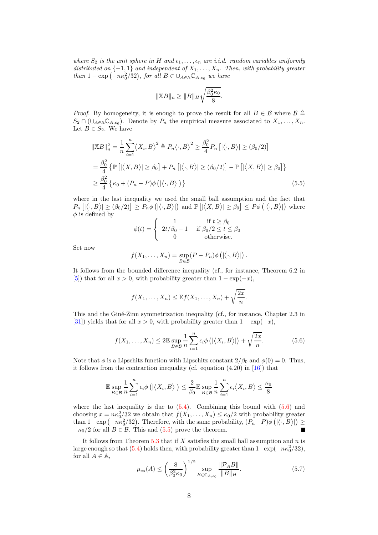*where*  $S_2$  *is the unit sphere in* H and  $\epsilon_1, \ldots, \epsilon_n$  are *i.i.d.* random variables uniformly *distributed on*  $\{-1,1\}$  *and independent of*  $X_1, \ldots, X_n$ . Then, with probability greater *than*  $1 - \exp(-n\kappa_0^2/32)$ , for all  $B \in \bigcup_{A \in \mathbb{A}} \mathbb{C}_{A,c_0}$  we have

$$
\|\mathbb{X}B\|_n \ge \|B\|_H \sqrt{\frac{\beta_0^2 \kappa_0}{8}}.
$$

*Proof.* By homogeneity, it is enough to prove the result for all  $B \in \mathcal{B}$  where  $\mathcal{B} \triangleq$  $S_2 \cap (\cup_{A \in \mathbb{A}} \mathbb{C}_{A,c_0})$ . Denote by  $P_n$  the empirical measure associated to  $X_1, \ldots, X_n$ . Let  $B \in S_2$ . We have

$$
\|\mathbb{X}B\|_{n}^{2} = \frac{1}{n} \sum_{i=1}^{n} \langle X_{i}, B \rangle^{2} \triangleq P_{n} \langle \cdot, B \rangle^{2} \geq \frac{\beta_{0}^{2}}{4} P_{n} \left[ |\langle \cdot, B \rangle| \geq (\beta_{0}/2) \right]
$$
  

$$
= \frac{\beta_{0}^{2}}{4} \left\{ \mathbb{P} \left[ |\langle X, B \rangle| \geq \beta_{0} \right] + P_{n} \left[ |\langle \cdot, B \rangle| \geq (\beta_{0}/2) \right] - \mathbb{P} \left[ |\langle X, B \rangle| \geq \beta_{0} \right] \right\}
$$
  

$$
\geq \frac{\beta_{0}^{2}}{4} \left\{ \kappa_{0} + (P_{n} - P) \phi \left( |\langle \cdot, B \rangle| \right) \right\}
$$
 (5.5)

where in the last inequality we used the small ball assumption and the fact that  $P_n \left[ \langle \cdot, B \rangle \right] \geq (\beta_0/2) \geq P_n \phi \left( \langle \cdot, B \rangle \right]$  and  $\mathbb{P} \left[ \left| \langle X, B \rangle \right| \geq \beta_0 \right] \leq P \phi \left( \langle \cdot, B \rangle \right)$  where  $\phi$  is defined by

<span id="page-7-1"></span>
$$
\phi(t) = \begin{cases} 1 & \text{if } t \ge \beta_0 \\ 2t/\beta_0 - 1 & \text{if } \beta_0/2 \le t \le \beta_0 \\ 0 & \text{otherwise.} \end{cases}
$$

Set now

$$
f(X_1,\ldots,X_n)=\sup_{B\in\mathcal{B}}(P-P_n)\phi\left(|\langle \cdot,B\rangle|\right).
$$

It follows from the bounded difference inequality (cf., for instance, Theorem 6.2 in [\[5\]](#page-18-5)) that for all  $x > 0$ , with probability greater than  $1 - \exp(-x)$ ,

$$
f(X_1,\ldots,X_n)\leq \mathbb{E}f(X_1,\ldots,X_n)+\sqrt{\frac{2x}{n}}.
$$

This and the Giné-Zinn symmetrization inequality (cf., for instance, Chapter 2.3 in [\[31\]](#page-19-15)) yields that for all  $x > 0$ , with probability greater than  $1 - \exp(-x)$ ,

<span id="page-7-0"></span>
$$
f(X_1, \ldots, X_n) \le 2\mathbb{E} \sup_{B \in \mathcal{B}} \frac{1}{n} \sum_{i=1}^n \epsilon_i \phi\left(\left|\langle X_i, B \rangle\right|\right) + \sqrt{\frac{2x}{n}}.\tag{5.6}
$$

Note that  $\phi$  is a Lipschitz function with Lipschitz constant  $2/\beta_0$  and  $\phi(0) = 0$ . Thus, it follows from the contraction inequality (cf. equation (4.20) in [\[16\]](#page-19-16)) that

$$
\mathbb{E}\sup_{B\in\mathcal{B}}\frac{1}{n}\sum_{i=1}^n\epsilon_i\phi\left(\left|\left\langle X_i,B\right\rangle\right|\right)\leq\frac{2}{\beta_0}\mathbb{E}\sup_{B\in\mathcal{B}}\frac{1}{n}\sum_{i=1}^n\epsilon_i\big\langle X_i,B\big\rangle\leq\frac{\kappa_0}{8}
$$

where the last inequality is due to  $(5.4)$ . Combining this bound with  $(5.6)$  and choosing  $x = n\kappa_0^2/32$  we obtain that  $f(X_1, \ldots, X_n) \leq \kappa_0/2$  with probability greater than 1-exp  $(-n\kappa_0^2/32)$ . Therefore, with the same probability,  $(P_n-P)\phi\left(|\langle \cdot, B\rangle|\right) \ge$  $-\kappa_0/2$  for all  $B \in \mathcal{B}$ . This and [\(5.5\)](#page-7-1) prove the theorem.

It follows from Theorem  $5.3$  that if X satisfies the small ball assumption and  $n$  is large enough so that [\(5.4\)](#page-6-3) holds then, with probability greater than  $1 - \exp(-n\kappa_0^2/32)$ , for all  $A \in \mathbb{A}$ ,

<span id="page-7-2"></span>
$$
\mu_{c_0}(A) \le \left(\frac{8}{\beta_0^2 \kappa_0}\right)^{1/2} \sup_{B \in \mathbb{C}_{A,c_0}} \frac{\|\mathcal{P}_A B\|}{\|B\|_H}.\tag{5.7}
$$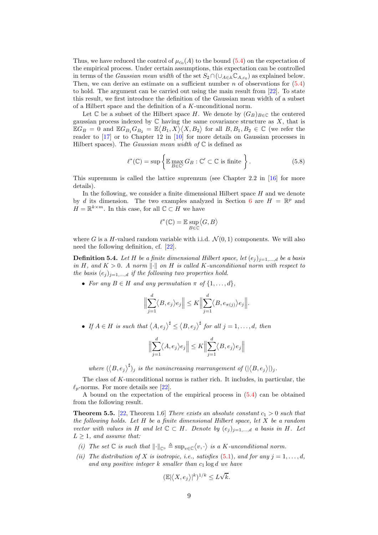Thus, we have reduced the control of  $\mu_{c_0}(A)$  to the bound  $(5.4)$  on the expectation of the empirical process. Under certain assumptions, this expectation can be controlled in terms of the *Gaussian mean width* of the set  $S_2 \cap (\cup_{A \in \mathbb{A}} \mathbb{C}_{A,c_0})$  as explained below. Then, we can derive an estimate on a sufficient number  $n$  of observations for  $(5.4)$ to hold. The argument can be carried out using the main result from [\[22](#page-19-17)]. To state this result, we first introduce the definition of the Gaussian mean width of a subset of a Hilbert space and the definition of a K-unconditional norm.

Let C be a subset of the Hilbert space H. We denote by  $(G_B)_{B \in \mathbb{C}}$  the centered gaussian process indexed by  $\mathbb C$  having the same covariance structure as  $X$ , that is  $\mathbb{E}G_B = 0$  and  $\mathbb{E}G_{B_1}G_{B_2} = \mathbb{E}\langle B_1, X\rangle \langle X, B_2\rangle$  for all  $B, B_1, B_2 \in \mathbb{C}$  (we refer the reader to  $[17]$  or to Chapter 12 in  $[10]$  for more details on Gaussian processes in Hilbert spaces). The *Gaussian mean width of* C is defined as

$$
\ell^*(\mathbb{C}) = \sup \left\{ \mathbb{E} \max_{B \in \mathbb{C}'} G_B : \mathbb{C}' \subset \mathbb{C} \text{ is finite } \right\}.
$$
 (5.8)

This supremum is called the lattice supremum (see Chapter 2.2 in [\[16\]](#page-19-16) for more details).

In the following, we consider a finite dimensional Hilbert space  $H$  and we denote by d its dimension. The two examples analyzed in Section [6](#page-9-0) are  $H = \mathbb{R}^p$  and  $H = \mathbb{R}^{k \times m}$ . In this case, for all  $\mathbb{C} \subset H$  we have

$$
\ell^*(\mathbb{C})=\mathbb{E}\sup_{B\in\mathbb{C}}\bigl\langle G,B \bigr\rangle
$$

where G is a H-valued random variable with i.i.d.  $\mathcal{N}(0, 1)$  components. We will also need the following definition, cf. [\[22](#page-19-17)].

**Definition 5.4.** Let H be a finite dimensional Hilbert space, let  $(e_j)_{j=1,\dots,d}$  be a basis *in*  $H$ *, and*  $K > 0$ *. A norm*  $\|\cdot\|$  *on*  $H$  *is called*  $K$ *-unconditional norm with respect to the basis*  $(e_j)_{j=1,\ldots,d}$  *if the following two properties hold.* 

• For any  $B \in H$  and any permutation  $\pi$  of  $\{1, \ldots, d\}$ ,

$$
\Big\|\sum_{j=1}^d \langle B, e_j \rangle e_j\Big\| \le K \Big\|\sum_{j=1}^d \langle B, e_{\pi(j)} \rangle e_j\Big\|.
$$

• If  $A \in H$  is such that  $\langle A, e_j \rangle^{\sharp} \le \langle B, e_j \rangle^{\sharp}$  for all  $j = 1, ..., d$ , then

$$
\Big\|\sum_{j=1}^d \langle A, e_j \rangle e_j \Big\| \le K \Big\|\sum_{j=1}^d \langle B, e_j \rangle e_j \Big\|
$$

where  $(\langle B, e_j \rangle^{\sharp})_j$  is the nonincreasing rearrangement of  $(|\langle B, e_j \rangle|)_j$ .

The class of  $K$ -unconditional norms is rather rich. It includes, in particular, the  $\ell_n$ -norms. For more details see [\[22](#page-19-17)].

A bound on the expectation of the empirical process in [\(5.4\)](#page-6-3) can be obtained from the following result.

<span id="page-8-0"></span>**Theorem 5.5.** [\[22,](#page-19-17) Theorem 1.6] *There exists an absolute constant*  $c_1 > 0$  *such that the following holds. Let* H *be a finite dimensional Hilbert space, let* X *be a random vector with values in* H and let  $\mathbb{C} \subset H$ *. Denote by*  $(e_i)_{i=1,\dots,d}$  *a basis in* H. Let  $L \geq 1$ *, and assume that:* 

- *(i)* The set  $\mathbb C$  is such that  $\| \cdot \|_{\mathbb C}$   $\triangleq \sup_{v \in \mathbb C} \langle v, \cdot \rangle$  is a K-unconditional norm.
- *(ii)* The distribution of X is isotropic, i.e., satisfies [\(5.1\)](#page-6-5), and for any  $j = 1, \ldots, d$ , *and any positive integer* k *smaller than* c<sup>1</sup> log d *we have*

$$
(\mathbb{E}|\langle X, e_j \rangle|^k)^{1/k} \le L\sqrt{k}.
$$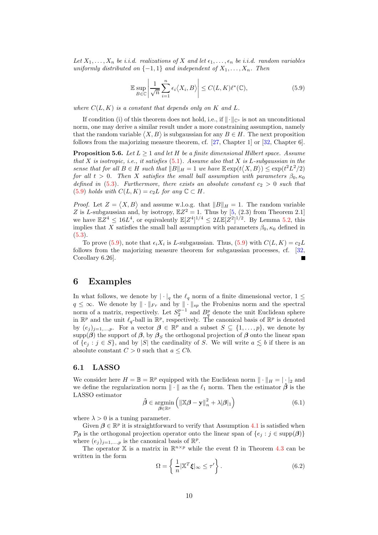Let  $X_1, \ldots, X_n$  *be i.i.d.* realizations of X and let  $\epsilon_1, \ldots, \epsilon_n$  be i.i.d. random variables *uniformly distributed on*  $\{-1, 1\}$  *and independent of*  $X_1, \ldots, X_n$ . Then

<span id="page-9-1"></span>
$$
\mathbb{E} \sup_{B \in \mathbb{C}} \left| \frac{1}{\sqrt{n}} \sum_{i=1}^{n} \epsilon_i \langle X_i, B \rangle \right| \le C(L, K) \ell^*(\mathbb{C}), \tag{5.9}
$$

*where*  $C(L, K)$  *is a constant that depends only on* K *and* L.

If condition (i) of this theorem does not hold, i.e., if  $\|\cdot\|_{\mathbb{C}^\circ}$  is not an unconditional norm, one may derive a similar result under a more constraining assumption, namely that the random variable  $\langle X, B \rangle$  is subgaussian for any  $B \in H$ . The next proposition follows from the majorizing measure theorem, cf. [\[27,](#page-19-19) Chapter 1] or [\[32](#page-19-20), Chapter 6].

<span id="page-9-3"></span>Proposition 5.6. *Let* L ≥ 1 *and let* H *be a finite dimensional Hilbert space. Assume that* X *is isotropic, i.e., it satisfies* [\(5.1\)](#page-6-5)*. Assume also that* X *is* L*-subgaussian in the sense that for all*  $B \in H$  *such that*  $||B||_H = 1$  *we have*  $\mathbb{E} \exp(t\langle X, B \rangle) \leq \exp(t^2 L^2 / 2)$ *for all*  $t > 0$ *. Then* X *satisfies the small ball assumption with parameters*  $\beta_0, \kappa_0$ *defined in* [\(5.3\)](#page-6-0). Furthermore, there exists an absolute constant  $c_2 > 0$  *such that* [\(5.9\)](#page-9-1) *holds with*  $C(L, K) = c_2 L$  *for any*  $\mathbb{C} \subset H$ *.* 

*Proof.* Let  $Z = \langle X, B \rangle$  and assume w.l.o.g. that  $||B||_H = 1$ . The random variable Z is L-subgaussian and, by isotropy,  $\mathbb{E}Z^2 = 1$ . Thus by [\[5,](#page-18-5) (2.3) from Theorem 2.1] we have  $\mathbb{E}Z^4 \leq 16L^4$ , or equivalently  $\mathbb{E}[Z^4]^{1/4} \leq 2L\mathbb{E}[Z^2]^{1/2}$ . By Lemma [5.2,](#page-6-1) this implies that X satisfies the small ball assumption with parameters  $\beta_0$ ,  $\kappa_0$  defined in [\(5.3\)](#page-6-0).

To prove [\(5.9\)](#page-9-1), note that  $\epsilon_i X_i$  is L-subgaussian. Thus, (5.9) with  $C(L, K) = c_2 L$ follows from the majorizing measure theorem for subgaussian processes, cf. [\[32](#page-19-20), Corollary 6.26].

### <span id="page-9-0"></span>6 Examples

In what follows, we denote by  $|\cdot|_q$  the  $\ell_q$  norm of a finite dimensional vector,  $1 \leq$  $q \leq \infty$ . We denote by  $\|\cdot\|_{Fr}$  and by  $\|\cdot\|_{sp}$  the Frobenius norm and the spectral norm of a matrix, respectively. Let  $S_2^{p-1}$  and  $B_q^p$  denote the unit Euclidean sphere in  $\mathbb{R}^p$  and the unit  $\ell_q$ -ball in  $\mathbb{R}^p$ , respectively. The canonical basis of  $\mathbb{R}^p$  is denoted by  $(e_j)_{j=1,\dots,p}$ . For a vector  $\boldsymbol{\beta} \in \mathbb{R}^p$  and a subset  $S \subseteq \{1,\dots,p\}$ , we denote by supp $(\beta)$  the support of  $\beta$ , by  $\beta_S$  the orthogonal projection of  $\beta$  onto the linear span of  $\{e_j : j \in S\}$ , and by |S| the cardinality of S. We will write  $a \lesssim b$  if there is an absolute constant  $C > 0$  such that  $a \leq Cb$ .

#### 6.1 LASSO

We consider here  $H = \mathbb{B} = \mathbb{R}^p$  equipped with the Euclidean norm  $\|\cdot\|_H = |\cdot|_2$  and we define the regularization norm  $\|\cdot\|$  as the  $\ell_1$  norm. Then the estimator  $\hat{\beta}$  is the LASSO estimator

$$
\hat{\boldsymbol{\beta}} \in \underset{\boldsymbol{\beta} \in \mathbb{R}^p}{\operatorname{argmin}} \left( \left\| \mathbb{X} \boldsymbol{\beta} - \mathbf{y} \right\|_n^2 + \lambda |\boldsymbol{\beta}|_1 \right) \tag{6.1}
$$

where  $\lambda > 0$  is a tuning parameter.

Given  $\beta \in \mathbb{R}^p$  it is straightforward to verify that Assumption [4.1](#page-3-2) is satisfied when  $\mathcal{P}_{\beta}$  is the orthogonal projection operator onto the linear span of  $\{e_j : j \in \text{supp}(\beta)\}\$ where  $(e_j)_{j=1,\dots,p}$  is the canonical basis of  $\mathbb{R}^p$ .

The operator X is a matrix in  $\mathbb{R}^{n \times p}$  while the event  $\Omega$  in Theorem [4.3](#page-4-3) can be written in the form

<span id="page-9-2"></span>
$$
\Omega = \left\{ \frac{1}{n} |\mathbb{X}^T \boldsymbol{\xi}|_{\infty} \le \tau' \right\}.
$$
\n(6.2)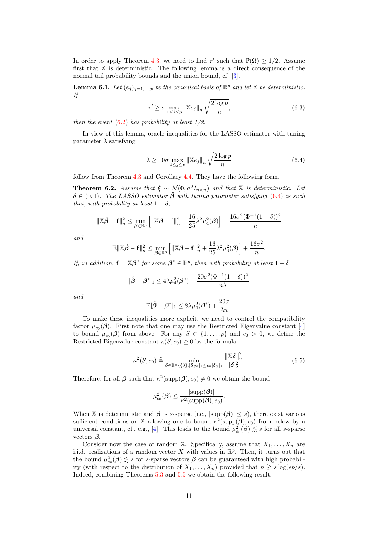In order to apply Theorem [4.3,](#page-4-3) we need to find  $\tau'$  such that  $\mathbb{P}(\Omega) \geq 1/2$ . Assume first that  $X$  is deterministic. The following lemma is a direct consequence of the normal tail probability bounds and the union bound, cf. [\[3](#page-18-2)].

**Lemma 6.1.** Let  $(e_j)_{j=1,\dots,p}$  be the canonical basis of  $\mathbb{R}^p$  and let X be deterministic. *If*

$$
\tau' \ge \sigma \max_{1 \le j \le p} \|\mathbb{X}e_j\|_n \sqrt{\frac{2\log p}{n}},\tag{6.3}
$$

*then the event* [\(6.2\)](#page-9-2) *has probability at least 1/2.*

In view of this lemma, oracle inequalities for the LASSO estimator with tuning parameter  $\lambda$  satisfying

<span id="page-10-0"></span>
$$
\lambda \ge 10\sigma \max_{1 \le j \le p} \left\| \mathbb{X}e_j \right\|_n \sqrt{\frac{2\log p}{n}}\tag{6.4}
$$

.

follow from Theorem [4.3](#page-4-3) and Corollary [4.4.](#page-5-3) They have the following form.

<span id="page-10-1"></span>**Theorem 6.2.** *Assume that*  $\xi \sim \mathcal{N}(0, \sigma^2 I_{n \times n})$  *and that* X *is deterministic. Let*  $\delta \in (0,1)$ *. The LASSO estimator*  $\hat{\beta}$  *with tuning parameter satisfying* [\(6.4\)](#page-10-0) *is such that, with probability at least*  $1 - \delta$ *,* 

$$
\|\mathbb{X}\hat{\beta} - \mathbf{f}\|_{n}^{2} \le \min_{\beta \in \mathbb{R}^{p}} \left[ \|\mathbb{X}\beta - \mathbf{f}\|_{n}^{2} + \frac{16}{25}\lambda^{2}\mu_{4}^{2}(\beta) \right] + \frac{16\sigma^{2}(\Phi^{-1}(1-\delta))^{2}}{n}
$$

*and*

$$
\mathbb{E} \|\mathbb{X}\hat{\boldsymbol{\beta}} - \mathbf{f}\|_n^2 \le \min_{\boldsymbol{\beta} \in \mathbb{R}^p} \left[ \|\mathbb{X}\boldsymbol{\beta} - \mathbf{f}\|_n^2 + \frac{16}{25}\lambda^2 \mu_4^2(\boldsymbol{\beta}) \right] + \frac{16\sigma^2}{n}
$$

*If, in addition,*  $\mathbf{f} = \mathbb{X}\boldsymbol{\beta}^*$  for some  $\boldsymbol{\beta}^* \in \mathbb{R}^p$ , then with probability at least  $1 - \delta$ ,

$$
|\hat{\beta} - \beta^*|_1 \le 4\lambda \mu_4^2(\beta^*) + \frac{20\sigma^2(\Phi^{-1}(1-\delta))^2}{n\lambda}
$$

*and*

$$
\mathbb{E}|\hat{\beta}-\beta^*|_1 \leq 8\lambda\mu_4^2(\beta^*) + \frac{20\sigma}{\lambda n}.
$$

To make these inequalities more explicit, we need to control the compatibility factor  $\mu_{c_0}(\beta)$ . First note that one may use the Restricted Eigenvalue constant [\[4](#page-18-0)] to bound  $\mu_{c_0}(\beta)$  from above. For any  $S \subset \{1, \ldots, p\}$  and  $c_0 > 0$ , we define the Restricted Eigenvalue constant  $\kappa(S, c_0) \geq 0$  by the formula

$$
\kappa^2(S, c_0) \triangleq \min_{\boldsymbol{\delta} \in \mathbb{R}^p \setminus \{0\} : |\boldsymbol{\delta}_{S^c}|_1 \leq c_0 |\boldsymbol{\delta}_S|_1} \frac{\|\mathbb{X}\boldsymbol{\delta}\|_n^2}{|\boldsymbol{\delta}|_2^2}.
$$
 (6.5)

Therefore, for all  $\beta$  such that  $\kappa^2(\text{supp}(\beta), c_0) \neq 0$  we obtain the bound

$$
\mu_{c_0}^2(\boldsymbol{\beta}) \leq \frac{|\mathrm{supp}(\boldsymbol{\beta})|}{\kappa^2(\mathrm{supp}(\boldsymbol{\beta}),c_0)}.
$$

When X is deterministic and  $\beta$  is s-sparse (i.e.,  $|\text{supp}(\beta)| \leq s$ ), there exist various sufficient conditions on X allowing one to bound  $\kappa^2(\text{supp}(\beta), c_0)$  from below by a universal constant, cf., e.g., [\[4](#page-18-0)]. This leads to the bound  $\mu_{c_0}^2(\boldsymbol{\beta}) \lesssim s$  for all s-sparse vectors  $\beta$ .

Consider now the case of random X. Specifically, assume that  $X_1, \ldots, X_n$  are i.i.d. realizations of a random vector X with values in  $\mathbb{R}^p$ . Then, it turns out that the bound  $\mu_{c_0}^2(\boldsymbol{\beta}) \lesssim s$  for s-sparse vectors  $\boldsymbol{\beta}$  can be guaranteed with high probability (with respect to the distribution of  $X_1, \ldots, X_n$ ) provided that  $n \geq s \log(ep/s)$ . Indeed, combining Theorems [5.3](#page-6-4) and [5.5](#page-8-0) we obtain the following result.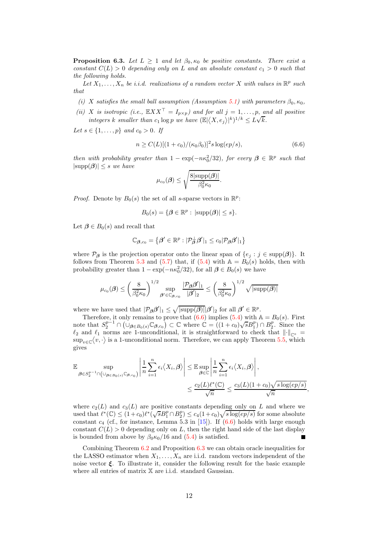<span id="page-11-1"></span>**Proposition 6.3.** *Let*  $L \geq 1$  *and let*  $\beta_0$ ,  $\kappa_0$  *be positive constants. There exist a constant*  $C(L) > 0$  *depending only on* L *and an absolute constant*  $c_1 > 0$  *such that the following holds.*

Let  $X_1, \ldots, X_n$  be *i.i.d.* realizations of a random vector X with values in  $\mathbb{R}^p$  such *that*

- *(i)* X satisfies the small ball assumption (Assumption [5.1\)](#page-6-2) with parameters  $\beta_0$ ,  $\kappa_0$ ,
- *(ii)* X *is isotropic (i.e.,*  $\mathbb{E} XX^\top = I_{p \times p}$ *)* and for all  $j = 1, ..., p$ , and all positive *integers* k smaller than  $c_1 \log p$  *we have*  $(\mathbb{E}|\langle X, e_j \rangle|^k)^{1/k} \leq L\sqrt{k}$ .

*Let*  $s \in \{1, ..., p\}$  *and*  $c_0 > 0$ *. If* 

<span id="page-11-0"></span>
$$
n \ge C(L)[(1+c_0)/(\kappa_0\beta_0)]^2 s \log(ep/s),\tag{6.6}
$$

*then with probability greater than*  $1 - \exp(-n\kappa_0^2/32)$ *, for every*  $\beta \in \mathbb{R}^p$  such that  $|\text{supp}(\boldsymbol{\beta})| \leq s$  *we have* 

$$
\mu_{c_0}(\boldsymbol{\beta}) \leq \sqrt{\frac{8|\mathrm{supp}(\boldsymbol{\beta})|}{\beta_0^2 \kappa_0}}.
$$

*Proof.* Denote by  $B_0(s)$  the set of all s-sparse vectors in  $\mathbb{R}^p$ :

$$
B_0(s) = \{ \boldsymbol{\beta} \in \mathbb{R}^p : |\text{supp}(\boldsymbol{\beta})| \le s \}.
$$

Let  $\beta \in B_0(s)$  and recall that

$$
\mathbb{C}_{\boldsymbol{\beta},c_0} = \left\{\boldsymbol{\beta}' \in \mathbb{R}^p: |\mathcal{P}_{\boldsymbol{\beta}}^\perp \boldsymbol{\beta}'|_1 \leq c_0 |\mathcal{P}_{\boldsymbol{\beta}} \boldsymbol{\beta}'|_1 \right\}
$$

where  $\mathcal{P}_{\beta}$  is the projection operator onto the linear span of  $\{e_i : j \in \text{supp}(\beta)\}\.$  It follows from Theorem [5.3](#page-6-4) and [\(5.7\)](#page-7-2) that, if [\(5.4\)](#page-6-3) with  $A = B<sub>0</sub>(s)$  holds, then with probability greater than  $1 - \exp(-n\kappa_0^2/32)$ , for all  $\beta \in B_0(s)$  we have

$$
\mu_{c_0}(\boldsymbol{\beta}) \le \left(\frac{8}{\beta_0^2 \kappa_0}\right)^{1/2} \sup_{\boldsymbol{\beta}' \in \mathbb{C}_{\boldsymbol{\beta}, c_0}} \frac{|\mathcal{P}_{\boldsymbol{\beta}} \boldsymbol{\beta}'|_1}{|\boldsymbol{\beta}'|_2} \le \left(\frac{8}{\beta_0^2 \kappa_0}\right)^{1/2} \sqrt{|\mathrm{supp}(\boldsymbol{\beta})|}
$$

where we have used that  $|\mathcal{P}_{\beta}\beta'|_1 \leq \sqrt{|\text{supp}(\beta)|} |\beta'|_2$  for all  $\beta' \in \mathbb{R}^p$ .

Therefore, it only remains to prove that  $(6.6)$  implies  $(5.4)$  with  $\mathbb{A} = B_0(s)$ . First note that  $S_2^{p-1} \cap (\cup_{\beta \in B_0(s)} \mathbb{C}_{\beta,c_0}) \subset \mathbb{C}$  where  $\mathbb{C} = ((1+c_0)\sqrt{s}B_1^p) \cap B_2^p$ . Since the  $\ell_2$  and  $\ell_1$  norms are 1-unconditional, it is straightforward to check that  $\lVert \cdot \rVert_{\mathbb{C}^\circ} =$  $\sup_{v \in \mathbb{C}} \langle v, \cdot \rangle$  is a 1-unconditional norm. Therefore, we can apply Theorem [5.5,](#page-8-0) which gives

$$
\mathbb{E} \sup_{\boldsymbol{\beta} \in S_2^{p-1} \cap \left(\bigcup_{\boldsymbol{\beta} \in B_0(s)} \mathbb{C}_{\boldsymbol{\beta}, c_0}\right)} \left|\frac{1}{n} \sum_{i=1}^n \epsilon_i \langle X_i, \boldsymbol{\beta} \rangle \right| \leq \mathbb{E} \sup_{\boldsymbol{\beta} \in \mathbb{C}} \left|\frac{1}{n} \sum_{i=1}^n \epsilon_i \langle X_i, \boldsymbol{\beta} \rangle \right|,
$$
  

$$
\leq \frac{c_2(L)\ell^*(\mathbb{C})}{\sqrt{n}} \leq \frac{c_3(L)(1+c_0)\sqrt{s \log(ep/s)}}{\sqrt{n}}
$$

,

where  $c_2(L)$  and  $c_3(L)$  are positive constants depending only on L and where we used that  $\ell^*(\mathbb{C}) \leq (1+c_0)\ell^*(\sqrt{s}B_1^p \cap B_2^p) \leq c_4(1+c_0)\sqrt{s \log(ep/s)}$  for some absolute constant  $c_4$  (cf., for instance, Lemma 5.3 in [\[15](#page-19-8)]). If [\(6.6\)](#page-11-0) holds with large enough constant  $C(L) > 0$  depending only on L, then the right hand side of the last display is bounded from above by  $\beta_0 \kappa_0/16$  and [\(5.4\)](#page-6-3) is satisfied.  $\blacksquare$ 

Combining Theorem [6.2](#page-10-1) and Proposition [6.3](#page-11-1) we can obtain oracle inequalities for the LASSO estimator when  $X_1, \ldots, X_n$  are i.i.d. random vectors independent of the noise vector  $\xi$ . To illustrate it, consider the following result for the basic example where all entries of matrix  $X$  are i.i.d. standard Gaussian.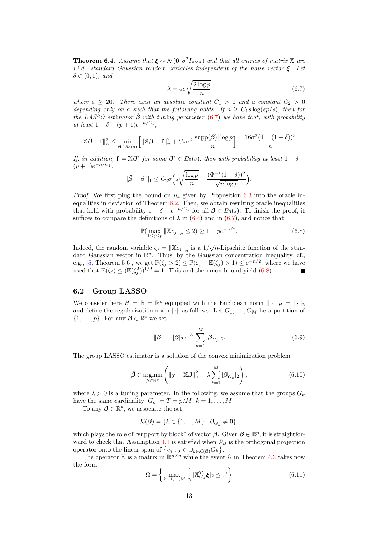**Theorem 6.4.** *Assume that*  $\xi \sim \mathcal{N}(\mathbf{0}, \sigma^2 I_{n \times n})$  *and that all entries of matrix*  $\mathbb{X}$  *are i.i.d. standard Gaussian random variables independent of the noise vector* ξ*. Let*  $\delta \in (0,1)$ *, and* 

<span id="page-12-0"></span>
$$
\lambda = a\sigma \sqrt{\frac{2\log p}{n}}\tag{6.7}
$$

*where*  $a \geq 20$ *. There exist an absolute constant*  $C_1 > 0$  *and a constant*  $C_2 > 0$ *depending only on a such that the following holds. If*  $n \geq C_1 s \log(ep/s)$ *, then for the LASSO estimator* βˆ *with tuning parameter* [\(6.7\)](#page-12-0) *we have that, with probability*  $at$  *least*  $1 - \delta - (p+1)e^{-n/C_1}$ ,

$$
\|\mathbb{X}\hat{\boldsymbol{\beta}} - \mathbf{f}\|_{n}^{2} \leq \min_{\boldsymbol{\beta} \in B_{0}(s)} \left[ \|\mathbb{X}\boldsymbol{\beta} - \mathbf{f}\|_{n}^{2} + C_{2}\sigma^{2} \frac{|\mathrm{supp}(\boldsymbol{\beta})| \log p}{n} \right] + \frac{16\sigma^{2}(\Phi^{-1}(1-\delta))^{2}}{n}.
$$

*If, in addition,*  $\mathbf{f} = \mathbb{X}\boldsymbol{\beta}^*$  for some  $\boldsymbol{\beta}^* \in B_0(s)$ , then with probability at least  $1 - \delta$  –  $(p+1)e^{-n/C_1},$ 

$$
|\hat{\beta} - \beta^*|_1 \leq C_2 \sigma \Big( s \sqrt{\frac{\log p}{n}} + \frac{(\Phi^{-1}(1-\delta))^2}{\sqrt{n \log p}} \Big).
$$

*Proof.* We first plug the bound on  $\mu_4$  given by Proposition [6.3](#page-11-1) into the oracle inequalities in deviation of Theorem  $6.2$ . Then, we obtain resulting oracle inequalities that hold with probability  $1 - \delta - e^{-n/C_1}$  for all  $\beta \in B_0(s)$ . To finish the proof, it suffices to compare the definitions of  $\lambda$  in [\(6.4\)](#page-10-0) and in [\(6.7\)](#page-12-0), and notice that

<span id="page-12-1"></span>
$$
\mathbb{P}(\max_{1 \le j \le p} \|\mathbb{X}e_j\|_n \le 2) \ge 1 - pe^{-n/2}.
$$
 (6.8)

Indeed, the random variable  $\zeta_j = {\|\mathbb{X}e_j\|}_n$  is a  $1/\sqrt{n}$ -Lipschitz function of the standard Gaussian vector in  $\mathbb{R}^n$ . Thus, by the Gaussian concentration inequality, cf., e.g., [\[5,](#page-18-5) Theorem 5.6], we get  $\mathbb{P}(\zeta_j > 2) \leq \mathbb{P}(\zeta_j - \mathbb{E}(\zeta_j) > 1) \leq e^{-n/2}$ , where we have used that  $\mathbb{E}(\zeta_j) \leq (\mathbb{E}(\zeta_j^2))^{1/2} = 1$ . This and the union bound yield [\(6.8\)](#page-12-1).

#### 6.2 Group LASSO

We consider here  $H = \mathbb{B} = \mathbb{R}^p$  equipped with the Euclidean norm  $\|\cdot\|_H = |\cdot|_2$ and define the regularization norm  $\|\cdot\|$  as follows. Let  $G_1, \ldots, G_M$  be a partition of  $\{1,\ldots,p\}$ . For any  $\boldsymbol{\beta} \in \mathbb{R}^p$  we set

<span id="page-12-3"></span>
$$
\|\boldsymbol{\beta}\| = |\boldsymbol{\beta}|_{2,1} \triangleq \sum_{k=1}^{M} |\boldsymbol{\beta}_{G_k}|_2.
$$
 (6.9)

The group LASSO estimator is a solution of the convex minimization problem

$$
\hat{\boldsymbol{\beta}} \in \underset{\boldsymbol{\beta} \in \mathbb{R}^p}{\operatorname{argmin}} \left( \|\mathbf{y} - \mathbb{X}\boldsymbol{\beta}\|_{n}^2 + \lambda \sum_{k=1}^{M} |\boldsymbol{\beta}_{G_k}|_2 \right),\tag{6.10}
$$

where  $\lambda > 0$  is a tuning parameter. In the following, we assume that the groups  $G_k$ have the same cardinality  $|G_k| = T = p/M$ ,  $k = 1, ..., M$ .

To any  $\beta \in \mathbb{R}^p$ , we associate the set

$$
\mathcal{K}(\boldsymbol{\beta}) = \{k \in \{1, ..., M\} : \boldsymbol{\beta}_{G_k} \neq \mathbf{0}\},\
$$

which plays the role of "support by block" of vector  $\beta$ . Given  $\beta \in \mathbb{R}^p$ , it is straightfor-ward to check that Assumption [4.1](#page-3-2) is satisfied when  $P_\beta$  is the orthogonal projection operator onto the linear span of  $\{e_j : j \in \bigcup_{k \in \mathcal{K}(\beta)} G_k\}.$ 

The operator X is a matrix in  $\mathbb{R}^{n \times p}$  while the event  $\Omega$  in Theorem [4.3](#page-4-3) takes now the form

<span id="page-12-2"></span>
$$
\Omega = \left\{ \max_{k=1,\dots,M} \frac{1}{n} |\mathbb{X}_{G_k}^T \boldsymbol{\xi}|_2 \le \tau' \right\} \tag{6.11}
$$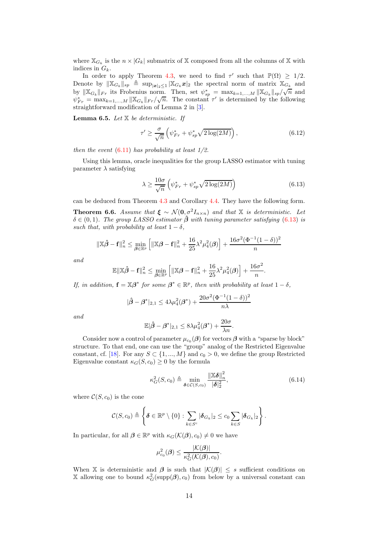where  $\mathbb{X}_{G_k}$  is the  $n \times |G_k|$  submatrix of X composed from all the columns of X with indices in  $G_k$ .

In order to apply Theorem [4.3,](#page-4-3) we need to find  $\tau'$  such that  $\mathbb{P}(\Omega) \geq 1/2$ . Denote by  $\|\mathbb{X}_{G_k}\|_{sp} \triangleq \sup_{|\boldsymbol{x}|_2 \leq 1} |\mathbb{X}_{G_k} \boldsymbol{x}|_2$  the spectral norm of matrix  $\mathbb{X}_{G_k}$  and by  $\|\mathbb{X}_{G_k}\|_{F_r}$  its Frobenius norm. Then, set  $\psi_{sp}^* = \max_{k=1,\dots,M} \|\mathbb{X}_{G_k}\|_{sp}/\sqrt{n}$  and  $\psi_{Fr}^* = \max_{k=1,\dots,M} \|\mathbb{X}_{G_k}\|_{Fr} / \sqrt{n}.$  The constant  $\tau'$  is determined by the following straightforward modification of Lemma 2 in [\[3](#page-18-2)].

Lemma 6.5. *Let* X *be deterministic. If*

$$
\tau' \ge \frac{\sigma}{\sqrt{n}} \left( \psi_{Fr}^* + \psi_{sp}^* \sqrt{2 \log(2M)} \right),\tag{6.12}
$$

*then the event* [\(6.11\)](#page-12-2) *has probability at least 1/2.*

Using this lemma, oracle inequalities for the group LASSO estimator with tuning parameter  $\lambda$  satisfying

<span id="page-13-0"></span>
$$
\lambda \ge \frac{10\sigma}{\sqrt{n}} \left( \psi_{Fr}^* + \psi_{sp}^* \sqrt{2\log(2M)} \right) \tag{6.13}
$$

can be deduced from Theorem [4.3](#page-4-3) and Corollary [4.4.](#page-5-3) They have the following form. **Theorem 6.6.** *Assume that*  $\xi \sim \mathcal{N}(\mathbf{0}, \sigma^2 I_{n \times n})$  *and that* X *is deterministic. Let*  $\delta \in (0,1)$ *. The group LASSO estimator*  $\hat{\beta}$  *with tuning parameter satisfying* [\(6.13\)](#page-13-0) *is such that, with probability at least*  $1 - \delta$ ,

$$
\|\mathbb{X}\hat{\beta} - \mathbf{f}\|_{n}^{2} \le \min_{\beta \in \mathbb{R}^{p}} \left[ \|\mathbb{X}\beta - \mathbf{f}\|_{n}^{2} + \frac{16}{25}\lambda^{2}\mu_{4}^{2}(\beta) \right] + \frac{16\sigma^{2}(\Phi^{-1}(1-\delta))^{2}}{n}
$$

*and*

$$
\mathbb{E}\|\mathbb{X}\hat{\boldsymbol{\beta}}-\mathbf{f}\|_n^2 \leq \min_{\boldsymbol{\beta}\in\mathbb{R}^p}\left[\|\mathbb{X}\boldsymbol{\beta}-\mathbf{f}\|_n^2 + \frac{16}{25}\lambda^2\mu_4^2(\boldsymbol{\beta})\right] + \frac{16\sigma^2}{n}.
$$

*If, in addition,*  $\mathbf{f} = \mathbb{X}\boldsymbol{\beta}^*$  for some  $\boldsymbol{\beta}^* \in \mathbb{R}^p$ , then with probability at least  $1 - \delta$ ,

$$
|\hat{\beta} - \beta^*|_{2,1} \le 4\lambda \mu_4^2(\beta^*) + \frac{20\sigma^2(\Phi^{-1}(1-\delta))^2}{n\lambda}
$$

*and*

$$
\mathbb{E}|\hat{\beta}-\beta^*|_{2,1}\leq 8\lambda\mu_4^2(\beta^*)+\frac{20\sigma}{\lambda n}.
$$

Consider now a control of parameter  $\mu_{c_0}(\boldsymbol{\beta})$  for vectors  $\boldsymbol{\beta}$  with a "sparse by block" structure. To that end, one can use the "group" analog of the Restricted Eigenvalue constant, cf. [\[18\]](#page-19-21). For any  $S \subset \{1, ..., M\}$  and  $c_0 > 0$ , we define the group Restricted Eigenvalue constant  $\kappa_G(S, c_0) \geq 0$  by the formula

$$
\kappa_G^2(S, c_0) \triangleq \min_{\delta \in \mathcal{C}(S, c_0)} \frac{\|\mathbb{X}\delta\|_n^2}{|\delta|_2^2},\tag{6.14}
$$

where  $\mathcal{C}(S, c_0)$  is the cone

$$
\mathcal{C}(S,c_0) \triangleq \left\{ \boldsymbol{\delta} \in \mathbb{R}^p \setminus \{0\} : \sum_{k \in S^c} |\boldsymbol{\delta}_{G_k}|_2 \leq c_0 \sum_{k \in S} |\boldsymbol{\delta}_{G_k}|_2 \right\}.
$$

In particular, for all  $\beta \in \mathbb{R}^p$  with  $\kappa_G(\mathcal{K}(\beta), c_0) \neq 0$  we have

$$
\mu_{c_0}^2(\boldsymbol{\beta}) \leq \frac{|\mathcal{K}(\boldsymbol{\beta})|}{\kappa_G^2(\mathcal{K}(\boldsymbol{\beta}), c_0)}.
$$

When X is deterministic and  $\beta$  is such that  $|\mathcal{K}(\beta)| \leq s$  sufficient conditions on X allowing one to bound  $\kappa_G^2(\text{supp}(\beta), c_0)$  from below by a universal constant can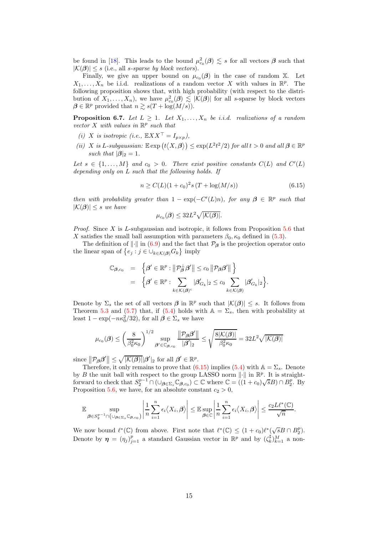be found in [\[18\]](#page-19-21). This leads to the bound  $\mu_{c_0}^2(\beta) \lesssim s$  for all vectors  $\beta$  such that  $|\mathcal{K}(\boldsymbol{\beta})| \leq s$  (i.e., all *s*-sparse by block vectors).

Finally, we give an upper bound on  $\mu_{c_0}(\beta)$  in the case of random X. Let  $X_1, \ldots, X_n$  be i.i.d. realizations of a random vector X with values in  $\mathbb{R}^p$ . The following proposition shows that, with high probability (with respect to the distribution of  $X_1, \ldots, X_n$ , we have  $\mu_{c_0}^2(\beta) \lesssim |\mathcal{K}(\beta)|$  for all s-sparse by block vectors  $\beta \in \mathbb{R}^p$  provided that  $n \gtrsim s(T + \log(M/s)).$ 

**Proposition 6.7.** Let  $L \geq 1$ . Let  $X_1, \ldots, X_n$  be *i.i.d.* realizations of a random *vector* X *with values in* R p *such that*

- *(i)* X *is isotropic (i.e.,*  $\mathbb{E} XX^{\top} = I_{p \times p}$ ),
- (*ii*) *X* is *L*-subgaussian:  $\mathbb{E} \exp(t \langle X, \beta \rangle) \leq \exp(L^2 t^2 / 2)$  *for all*  $t > 0$  *and all*  $\beta \in \mathbb{R}^p$ *such that*  $|\boldsymbol{\beta}|_2 = 1$ .

Let  $s \in \{1, ..., M\}$  and  $c_0 > 0$ . There exist positive constants  $C(L)$  and  $C'(L)$ *depending only on* L *such that the following holds. If*

<span id="page-14-0"></span>
$$
n \ge C(L)(1+c_0)^2 s (T + \log(M/s))
$$
\n(6.15)

*then with probability greater than*  $1 - \exp(-C'(L)n)$ *, for any*  $\beta \in \mathbb{R}^p$  such that  $|\mathcal{K}(\boldsymbol{\beta})| \leq s$  *we have* 

$$
\mu_{c_0}(\boldsymbol{\beta}) \leq 32L^2 \sqrt{|\mathcal{K}(\boldsymbol{\beta})|}.
$$

*Proof.* Since X is L-subgaussian and isotropic, it follows from Proposition [5.6](#page-9-3) that X satisfies the small ball assumption with parameters  $\beta_0$ ,  $\kappa_0$  defined in [\(5.3\)](#page-6-0).

The definition of  $\|\cdot\|$  in [\(6.9\)](#page-12-3) and the fact that  $\mathcal{P}_{\beta}$  is the projection operator onto the linear span of  $\{e_j : j \in \bigcup_{k \in \mathcal{K}(\beta)} G_k\}$  imply

$$
\mathbb{C}_{\beta,c_0} = \left\{ \beta' \in \mathbb{R}^p : \|\mathcal{P}_{\beta}^{\perp}\beta'\| \leq c_0 \|\mathcal{P}_{\beta}\beta'\|\right\} \n= \left\{ \beta' \in \mathbb{R}^p : \sum_{k \in \mathcal{K}(\beta)^c} |\beta'_{G_k}|_2 \leq c_0 \sum_{k \in \mathcal{K}(\beta)} |\beta'_{G_k}|_2 \right\}.
$$

Denote by  $\Sigma_s$  the set of all vectors  $\beta$  in  $\mathbb{R}^p$  such that  $|\mathcal{K}(\beta)| \leq s$ . It follows from Theorem [5.3](#page-6-4) and [\(5.7\)](#page-7-2) that, if [\(5.4\)](#page-6-3) holds with  $A = \Sigma_s$ , then with probability at least  $1 - \exp(-n\kappa_0^2/32)$ , for all  $\beta \in \Sigma_s$  we have

$$
\mu_{c_0}(\boldsymbol{\beta}) \leq \left(\frac{8}{\beta_0^2 \kappa_0}\right)^{1/2} \sup_{\boldsymbol{\beta}' \in \mathbb{C}_{\boldsymbol{\beta},c_0}} \frac{\left\|\mathcal{P}_{\boldsymbol{\beta}}\boldsymbol{\beta}'\right\|}{|\boldsymbol{\beta}'|_2} \leq \sqrt{\frac{8|\mathcal{K}(\boldsymbol{\beta})|}{\beta_0^2 \kappa_0}} = 32L^2 \sqrt{|\mathcal{K}(\boldsymbol{\beta})|}
$$

since  $\|\mathcal{P}_{\beta}\beta'\| \leq \sqrt{|\mathcal{K}(\beta)||\beta'|_2}$  for all  $\beta' \in \mathbb{R}^p$ .

Therefore, it only remains to prove that [\(6.15\)](#page-14-0) implies [\(5.4\)](#page-6-3) with  $\mathbb{A} = \Sigma_s$ . Denote by B the unit ball with respect to the group LASSO norm  $\|\cdot\|$  in  $\mathbb{R}^p$ . It is straightforward to check that  $S_2^{p-1} \cap (\cup_{\beta \in \Sigma_s} \mathbb{C}_{\beta,c_0}) \subset \mathbb{C}$  where  $\mathbb{C} = ((1+c_0)\sqrt{s}B) \cap B_2^p$ . By Proposition [5.6,](#page-9-3) we have, for an absolute constant  $c_2 > 0$ ,

$$
\mathbb{E}\sup_{\boldsymbol{\beta}\in S_2^{p-1}\cap\left(\cup_{\boldsymbol{\beta}\in\Sigma_s}\mathbb{C}_{\boldsymbol{\beta},c_0}\right)}\left|\frac{1}{n}\sum_{i=1}^n\epsilon_i\langle X_i,\boldsymbol{\beta}\rangle\right|\leq \mathbb{E}\sup_{\boldsymbol{\beta}\in\mathbb{C}}\left|\frac{1}{n}\sum_{i=1}^n\epsilon_i\langle X_i,\boldsymbol{\beta}\rangle\right|\leq \frac{c_2L\ell^*(\mathbb{C})}{\sqrt{n}}.
$$

We now bound  $\ell^*(\mathbb{C})$  from above. First note that  $\ell^*(\mathbb{C}) \leq (1+c_0)\ell^*(\sqrt{s}B \cap B_2^p)$ . Denote by  $\boldsymbol{\eta} = (\eta_j)_{j=1}^p$  a standard Gaussian vector in  $\mathbb{R}^p$  and by  $(\zeta_k^{\sharp})_{k=1}^M$  a non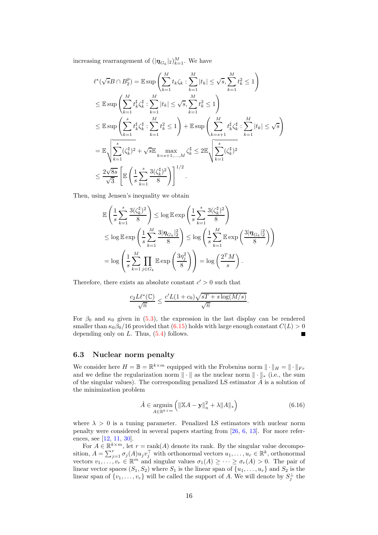increasing rearrangement of  $(|\pmb{\eta}_{G_k}|_2)_{k=1}^M$ . We have

$$
\ell^*(\sqrt{s}B \cap B_2^p) = \mathbb{E} \sup \left( \sum_{k=1}^M t_k \zeta_k : \sum_{k=1}^M |t_k| \leq \sqrt{s}, \sum_{k=1}^M t_k^2 \leq 1 \right)
$$
  
\n
$$
\leq \mathbb{E} \sup \left( \sum_{k=1}^M t_k^{\sharp} \zeta_k^{\sharp} : \sum_{k=1}^M |t_k| \leq \sqrt{s}, \sum_{k=1}^M t_k^2 \leq 1 \right)
$$
  
\n
$$
\leq \mathbb{E} \sup \left( \sum_{k=1}^s t_k^{\sharp} \zeta_k^{\sharp} : \sum_{k=1}^M t_k^2 \leq 1 \right) + \mathbb{E} \sup \left( \sum_{k=s+1}^M t_k^{\sharp} \zeta_k^{\sharp} : \sum_{k=1}^M |t_k| \leq \sqrt{s} \right)
$$
  
\n
$$
= \mathbb{E} \sqrt{\sum_{k=1}^s (\zeta_k^{\sharp})^2} + \sqrt{s} \mathbb{E} \max_{k=s+1,...,M} \zeta_k^{\sharp} \leq 2 \mathbb{E} \sqrt{\sum_{k=1}^s (\zeta_k^{\sharp})^2}
$$
  
\n
$$
\leq \frac{2\sqrt{8s}}{\sqrt{3}} \left[ \mathbb{E} \left( \frac{1}{s} \sum_{k=1}^s \frac{3(\zeta_k^{\sharp})^2}{8} \right) \right]^{1/2}.
$$

Then, using Jensen's inequality we obtain

$$
\mathbb{E}\left(\frac{1}{s}\sum_{k=1}^{s}\frac{3(\zeta_{k}^{\sharp})^{2}}{8}\right) \leq \log \mathbb{E}\exp\left(\frac{1}{s}\sum_{k=1}^{s}\frac{3(\zeta_{k}^{\sharp})^{2}}{8}\right)
$$
  

$$
\leq \log \mathbb{E}\exp\left(\frac{1}{s}\sum_{k=1}^{M}\frac{3|\eta_{G_{k}}|_{2}^{2}}{8}\right) \leq \log \left(\frac{1}{s}\sum_{k=1}^{M}\mathbb{E}\exp\left(\frac{3|\eta_{G_{k}}|_{2}^{2}}{8}\right)\right)
$$
  

$$
= \log \left(\frac{1}{s}\sum_{k=1}^{M}\prod_{j\in G_{k}}\mathbb{E}\exp\left(\frac{3\eta_{j}^{2}}{8}\right)\right) = \log \left(\frac{2^{T}M}{s}\right).
$$

Therefore, there exists an absolute constant  $c' > 0$  such that

$$
\frac{c_2 L \ell^*(\mathbb{C})}{\sqrt{n}} \le \frac{c' L (1+c_0) \sqrt{sT + s \log(M/s)}}{\sqrt{n}}.
$$

For  $\beta_0$  and  $\kappa_0$  given in [\(5.3\)](#page-6-0), the expression in the last display can be rendered smaller than  $\kappa_0\beta_0/16$  provided that  $(6.15)$  holds with large enough constant  $C(L) > 0$ depending only on  $L$ . Thus,  $(5.4)$  follows. Е

#### 6.3 Nuclear norm penalty

We consider here  $H = \mathbb{B} = \mathbb{R}^{k \times m}$  equipped with the Frobenius norm  $\|\cdot\|_H = \|\cdot\|_{Fr}$ and we define the regularization norm  $\|\cdot\|$  as the nuclear norm  $\|\cdot\|_*$  (i.e., the sum of the singular values). The corresponding penalized LS estimator  $\hat{A}$  is a solution of the minimization problem

<span id="page-15-0"></span>
$$
\hat{A} \in \underset{A \in \mathbb{R}^{k \times m}}{\operatorname{argmin}} \left( \|\mathbb{X}A - \mathbf{y}\|_{n}^{2} + \lambda \|A\|_{*} \right) \tag{6.16}
$$

where  $\lambda > 0$  is a tuning parameter. Penalized LS estimators with nuclear norm penalty were considered in several papers starting from [\[26](#page-19-22), [6](#page-18-6), [13\]](#page-19-10). For more references, see [\[12,](#page-19-0) [11,](#page-19-1) [30\]](#page-19-2).

For  $A \in \mathbb{R}^{k \times m}$ , let  $r = \text{rank}(A)$  denote its rank. By the singular value decomposition,  $A = \sum_{j=1}^r \sigma_j(A) u_j v_j^{\top}$  with orthonormal vectors  $u_1, \ldots, u_r \in \mathbb{R}^k$ , orthonormal vectors  $v_1, \ldots, v_r \in \mathbb{R}^m$  and singular values  $\sigma_1(A) \geq \cdots \geq \sigma_r(A) > 0$ . The pair of linear vector spaces  $(S_1, S_2)$  where  $S_1$  is the linear span of  $\{u_1, \ldots, u_r\}$  and  $S_2$  is the linear span of  $\{v_1, \ldots, v_r\}$  will be called the support of A. We will denote by  $S_j^{\perp}$  the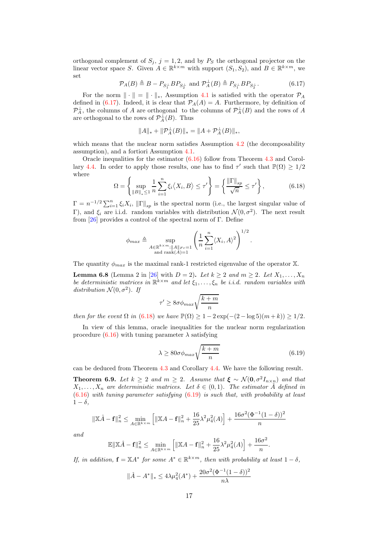orthogonal complement of  $S_j$ ,  $j = 1, 2$ , and by  $P_S$  the orthogonal projector on the linear vector space S. Given  $A \in \mathbb{R}^{k \times m}$  with support  $(S_1, S_2)$ , and  $B \in \mathbb{R}^{k \times m}$ , we set

<span id="page-16-0"></span>
$$
\mathcal{P}_A(B) \triangleq B - P_{S_1^\perp} B P_{S_2^\perp} \text{ and } \mathcal{P}_A^\perp(B) \triangleq P_{S_1^\perp} B P_{S_2^\perp}. \tag{6.17}
$$

For the norm  $\|\cdot\| = \|\cdot\|_*$ , Assumption [4.1](#page-3-2) is satisfied with the operator  $\mathcal{P}_A$ defined in [\(6.17\)](#page-16-0). Indeed, it is clear that  $\mathcal{P}_A(A) = A$ . Furthermore, by definition of  $\mathcal{P}_A^{\perp}$ , the columns of A are orthogonal to the columns of  $\mathcal{P}_A^{\perp}(B)$  and the rows of A are orthogonal to the rows of  $\mathcal{P}_{A}^{\perp}(B)$ . Thus

$$
||A||_* + ||\mathcal{P}_A^{\perp}(B)||_* = ||A + \mathcal{P}_A^{\perp}(B)||_*,
$$

which means that the nuclear norm satisfies Assumption [4.2](#page-3-4) (the decomposability assumption), and a fortiori Assumption [4.1.](#page-3-2)

Oracle inequalities for the estimator [\(6.16\)](#page-15-0) follow from Theorem [4.3](#page-4-3) and Corol-lary [4.4.](#page-5-3) In order to apply those results, one has to find  $\tau'$  such that  $\mathbb{P}(\Omega) \geq 1/2$ where

<span id="page-16-1"></span>
$$
\Omega = \left\{ \sup_{\|B\|_{*} \le 1} \frac{1}{n} \sum_{i=1}^{n} \xi_{i} \langle X_{i}, B \rangle \le \tau' \right\} = \left\{ \frac{\|\Gamma\|_{sp}}{\sqrt{n}} \le \tau' \right\},\tag{6.18}
$$

 $\Gamma = n^{-1/2} \sum_{i=1}^n \xi_i X_i$ ,  $\|\Gamma\|_{sp}$  is the spectral norm (i.e., the largest singular value of Γ), and  $\xi_i$  are i.i.d. random variables with distribution  $\mathcal{N}(0, \sigma^2)$ . The next result from  $[26]$  provides a control of the spectral norm of Γ. Define

$$
\phi_{max} \triangleq \sup_{\substack{A \in \mathbb{R}^{k \times m}: \|A\|_{Fr} = 1 \\ \text{and } rank(A) = 1}} \left( \frac{1}{n} \sum_{i=1}^{n} \langle X_i, A \rangle^2 \right)^{1/2}.
$$

The quantity  $\phi_{max}$  is the maximal rank-1 restricted eigenvalue of the operator X.

**Lemma 6.8** (Lemma 2 in [\[26\]](#page-19-22) with  $D = 2$ ). Let  $k \ge 2$  and  $m \ge 2$ . Let  $X_1, \ldots, X_n$ be deterministic matrices in  $\mathbb{R}^{k \times m}$  and let  $\xi_1, \ldots, \xi_n$  be *i.i.d.* random variables with distribution  $\mathcal{N}(0, \sigma^2)$ . If

$$
\tau' \geq 8 \sigma \phi_{max} \sqrt{\frac{k+m}{n}}
$$

*then for the event*  $\Omega$  *in* [\(6.18\)](#page-16-1) *we have*  $\mathbb{P}(\Omega) \ge 1 - 2 \exp(-(2 - \log 5)(m + k)) \ge 1/2$ *.* 

In view of this lemma, oracle inequalities for the nuclear norm regularization procedure  $(6.16)$  with tuning parameter  $\lambda$  satisfying

<span id="page-16-2"></span>
$$
\lambda \ge 80\sigma \phi_{max} \sqrt{\frac{k+m}{n}} \tag{6.19}
$$

can be deduced from Theorem [4.3](#page-4-3) and Corollary [4.4.](#page-5-3) We have the following result.

<span id="page-16-3"></span>Theorem 6.9. *Let*  $k \geq 2$  *and*  $m \geq 2$ *. Assume that*  $\xi \sim \mathcal{N}(0, \sigma^2 I_{n \times n})$  *and that*  $X_1, \ldots, X_n$  are deterministic matrices. Let  $\delta \in (0,1)$ . The estimator  $\hat{A}$  defined in [\(6.16\)](#page-15-0) *with tuning parameter satisfying* [\(6.19\)](#page-16-2) *is such that, with probability at least*  $1 - \delta$ ,

$$
\|\mathbb{X}\hat{A} - \mathbf{f}\|_{n}^{2} \le \min_{A \in \mathbb{R}^{k \times m}} \left[ \|\mathbb{X}A - \mathbf{f}\|_{n}^{2} + \frac{16}{25} \lambda^{2} \mu_{4}^{2}(A) \right] + \frac{16\sigma^{2}(\Phi^{-1}(1-\delta))^{2}}{n}
$$

*and*

$$
\mathbb{E} \|\mathbb{X}\hat{A} - \mathbf{f}\|_{n}^{2} \le \min_{A \in \mathbb{R}^{k \times m}} \left[ \|\mathbb{X}A - \mathbf{f}\|_{n}^{2} + \frac{16}{25} \lambda^{2} \mu_{4}^{2}(A) \right] + \frac{16\sigma^{2}}{n}.
$$

*If, in addition,*  $\mathbf{f} = \mathbb{X}A^*$  *for some*  $A^* \in \mathbb{R}^{k \times m}$ *, then with probability at least*  $1 - \delta$ *,* 

$$
\|\hat{A} - A^*\|_* \le 4\lambda \mu_4^2(A^*) + \frac{20\sigma^2(\Phi^{-1}(1-\delta))^2}{n\lambda}
$$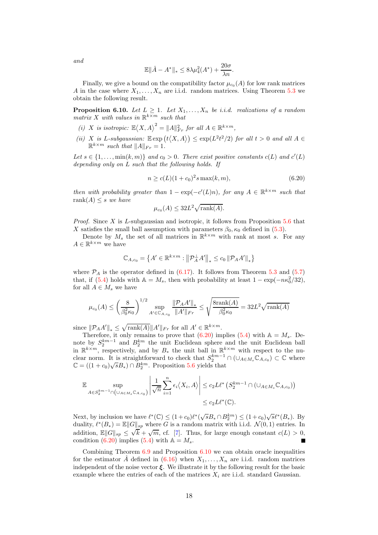$$
\mathbb{E}\|\hat{A} - A^*\|_* \le 8\lambda\mu_4^2(A^*) + \frac{20\sigma}{\lambda n}.
$$

Finally, we give a bound on the compatibility factor  $\mu_{c_0}(A)$  for low rank matrices A in the case where  $X_1, \ldots, X_n$  are i.i.d. random matrices. Using Theorem [5.3](#page-6-4) we obtain the following result.

<span id="page-17-1"></span>**Proposition 6.10.** Let  $L \geq 1$ . Let  $X_1, \ldots, X_n$  be *i.i.d.* realizations of a random  $matrix X$  with values in  $\mathbb{R}^{k \times m}$  *such that* 

- *(i) X is isotropic:*  $\mathbb{E}\langle X, A \rangle^2 = ||A||_{Fr}^2$  *for all*  $A \in \mathbb{R}^{k \times m}$ *,*
- (*ii*)  $X$  *is* L-subgaussian:  $\mathbb{E} \exp(t \langle X, A \rangle) \leq \exp(L^2 t^2 / 2)$  *for all*  $t > 0$  *and all*  $A \in$  $\mathbb{R}^{k \times m}$  *such that*  $||A||_{Fr} = 1$ *.*

Let  $s \in \{1, \ldots, \min(k, m)\}\$  and  $c_0 > 0$ . There exist positive constants  $c(L)$  and  $c'(L)$ *depending only on* L *such that the following holds. If*

<span id="page-17-0"></span>
$$
n \ge c(L)(1+c_0)^2 s \max(k, m), \tag{6.20}
$$

*then with probability greater than*  $1 - \exp(-c'(L)n)$ *, for any*  $A \in \mathbb{R}^{k \times m}$  *such that* rank $(A) \leq s$  *we have* 

$$
\mu_{c_0}(A) \leq 32L^2 \sqrt{\text{rank}(A)}.
$$

*Proof.* Since X is L-subgaussian and isotropic, it follows from Proposition [5.6](#page-9-3) that X satisfies the small ball assumption with parameters  $\beta_0$ ,  $\kappa_0$  defined in [\(5.3\)](#page-6-0).

Denote by  $M_s$  the set of all matrices in  $\mathbb{R}^{k \times m}$  with rank at most s. For any  $A \in \mathbb{R}^{k \times m}$  we have

$$
\mathbb{C}_{A,c_0} = \left\{ A' \in \mathbb{R}^{k \times m} : \left\| \mathcal{P}_A^{\perp} A' \right\|_* \le c_0 \left\| \mathcal{P}_A A' \right\|_* \right\}
$$

where  $P_A$  is the operator defined in [\(6.17\)](#page-16-0). It follows from Theorem [5.3](#page-6-4) and [\(5.7\)](#page-7-2) that, if [\(5.4\)](#page-6-3) holds with  $A = M_s$ , then with probability at least  $1 - \exp(-n\kappa_0^2/32)$ , for all  $A \in M_s$  we have

$$
\mu_{c_0}(A) \le \left(\frac{8}{\beta_0^2 \kappa_0}\right)^{1/2} \sup_{A' \in \mathbb{C}_{A,c_0}} \frac{\|\mathcal{P}_A A'\|_{*}}{\|A'\|_{Fr}} \le \sqrt{\frac{8 \text{rank}(A)}{\beta_0^2 \kappa_0}} = 32L^2 \sqrt{\text{rank}(A)}
$$

since  $||\mathcal{P}_A A'||_* \leq \sqrt{\text{rank}(A)} ||A'||_{Fr}$  for all  $A' \in \mathbb{R}^{k \times m}$ .

Therefore, it only remains to prove that  $(6.20)$  implies  $(5.4)$  with  $\mathbb{A} = M_s$ . Denote by  $S_2^{km-1}$  and  $B_2^{km}$  the unit Euclidean sphere and the unit Euclidean ball in  $\mathbb{R}^{k \times m}$ , respectively, and by  $B_*$  the unit ball in  $\mathbb{R}^{k \times m}$  with respect to the nuclear norm. It is straightforward to check that  $S_2^{km-1} \cap (\cup_{A \in M_s} \mathbb{C}_{A,c_0}) \subset \mathbb{C}$  where  $\mathbb{C} = ((1+c_0)\sqrt{s}B_*) \cap B_2^{km}$ . Proposition [5.6](#page-9-3) yields that

$$
\mathbb{E} \sup_{A \in S_2^{km-1} \cap (\cup_{A \in M_s} \mathbb{C}_{A,c_0})} \left| \frac{1}{\sqrt{n}} \sum_{i=1}^n \epsilon_i \langle X_i, A \rangle \right| \leq c_2 L \ell^* \left( S_2^{km-1} \cap (\cup_{A \in M_s} \mathbb{C}_{A,c_0}) \right) \leq c_2 L \ell^*(\mathbb{C}).
$$

Next, by inclusion we have  $\ell^*(\mathbb{C}) \leq (1+c_0)\ell^*(\sqrt{s}B_* \cap B_2^{km}) \leq (1+c_0)\sqrt{s}\ell^*(B_*)$ . By duality,  $\ell^*(B_*) = \mathbb{E} ||G||_{sp}$  where G is a random matrix with i.i.d.  $\mathcal{N}(0, 1)$  entries. In addition,  $\mathbb{E} \|G\|_{sp} \leq \sqrt{k} + \sqrt{m}$ , cf. [\[7](#page-18-7)]. Thus, for large enough constant  $c(L) > 0$ , condition  $(6.20)$  implies  $(5.4)$  with  $\mathbb{A} = M_s$ . п

Combining Theorem  $6.9$  and Proposition  $6.10$  we can obtain oracle inequalities for the estimator A defined in  $(6.16)$  when  $X_1, \ldots, X_n$  are i.i.d. random matrices independent of the noise vector  $\xi$ . We illustrate it by the following result for the basic example where the entries of each of the matrices  $X_i$  are i.i.d. standard Gaussian.

*and*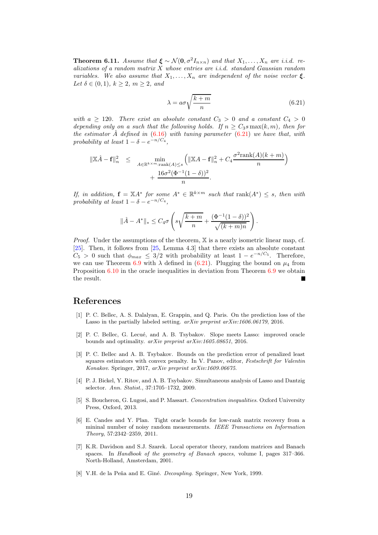**Theorem 6.11.** *Assume that*  $\xi \sim \mathcal{N}(0, \sigma^2 I_{n \times n})$  *and that*  $X_1, \ldots, X_n$  *are i.i.d. realizations of a random matrix* X *whose entries are i.i.d. standard Gaussian random variables. We also assume that*  $X_1, \ldots, X_n$  *are independent of the noise vector*  $\xi$ *. Let*  $\delta \in (0, 1)$ *,*  $k \geq 2$ *, m*  $\geq 2$ *, and* 

<span id="page-18-8"></span>
$$
\lambda = a\sigma \sqrt{\frac{k+m}{n}}\tag{6.21}
$$

.

*with*  $a \geq 120$ . There exist an absolute constant  $C_3 > 0$  and a constant  $C_4 > 0$ *depending only on a such that the following holds. If*  $n \geq C_3$ s max $(k, m)$ *, then for the estimator* Aˆ *defined in* [\(6.16\)](#page-15-0) *with tuning parameter* [\(6.21\)](#page-18-8) *we have that, with probability at least*  $1 - \delta - e^{-n/C_4}$ ,

$$
\|\mathbb{X}\hat{A} - \mathbf{f}\|_{n}^{2} \leq \min_{A \in \mathbb{R}^{k \times m} : \text{rank}(A) \leq s} \left( \|\mathbb{X}A - \mathbf{f}\|_{n}^{2} + C_{4} \frac{\sigma^{2} \text{rank}(A)(k+m)}{n} \right) + \frac{16\sigma^{2}(\Phi^{-1}(1-\delta))^{2}}{n}.
$$

*If, in addition,*  $f = X A^*$  *for some*  $A^* \in \mathbb{R}^{k \times m}$  *such that*  $\text{rank}(A^*) \leq s$ *, then with probability at least*  $1 - \delta - e^{-n/C_4}$ ,

$$
\|\hat{A} - A^*\|_{*} \le C_4 \sigma \left(s\sqrt{\frac{k+m}{n}} + \frac{(\Phi^{-1}(1-\delta))^2}{\sqrt{(k+m)n}}\right)
$$

*Proof.* Under the assumptions of the theorem, X is a nearly isometric linear map, cf. [\[25\]](#page-19-23). Then, it follows from [\[25,](#page-19-23) Lemma 4.3] that there exists an absolute constant  $C_5 > 0$  such that  $\phi_{max} \leq 3/2$  with probability at least  $1 - e^{-n/C_5}$ . Therefore, we can use Theorem [6.9](#page-16-3) with  $\lambda$  defined in [\(6.21\)](#page-18-8). Plugging the bound on  $\mu_4$  from Proposition [6.10](#page-17-1) in the oracle inequalities in deviation from Theorem [6.9](#page-16-3) we obtain the result.

## References

- <span id="page-18-3"></span>[1] P. C. Bellec, A. S. Dalalyan, E. Grappin, and Q. Paris. On the prediction loss of the Lasso in the partially labeled setting. *arXiv preprint arXiv:1606.06179*, 2016.
- <span id="page-18-1"></span>[2] P. C. Bellec, G. Lecué, and A. B. Tsybakov. Slope meets Lasso: improved oracle bounds and optimality. *arXiv preprint arXiv:1605.08651*, 2016.
- <span id="page-18-2"></span>[3] P. C. Bellec and A. B. Tsybakov. Bounds on the prediction error of penalized least squares estimators with convex penalty. In V. Panov, editor, *Festschrift for Valentin Konakov*. Springer, 2017, *arXiv preprint arXiv:1609.06675*.
- <span id="page-18-0"></span>[4] P. J. Bickel, Y. Ritov, and A. B. Tsybakov. Simultaneous analysis of Lasso and Dantzig selector. *Ann. Statist.*, 37:1705–1732, 2009.
- <span id="page-18-5"></span>[5] S. Boucheron, G. Lugosi, and P. Massart. *Concentration inequalities*. Oxford University Press, Oxford, 2013.
- <span id="page-18-6"></span>[6] E. Candes and Y. Plan. Tight oracle bounds for low-rank matrix recovery from a mininal number of noisy random measurements. *IEEE Transactions on Information Theory*, 57:2342–2359, 2011.
- <span id="page-18-7"></span>[7] K.R. Davidson and S.J. Szarek. Local operator theory, random matrices and Banach spaces. In *Handbook of the geometry of Banach spaces*, volume I, pages 317–366. North-Holland, Amsterdam, 2001.
- <span id="page-18-4"></span>[8] V.H. de la Peña and E. Giné. *Decoupling*. Springer, New York, 1999.